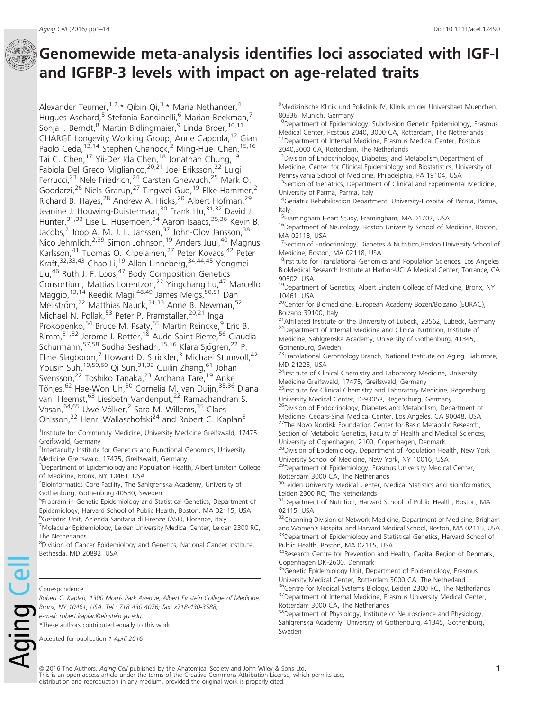# Genomewide meta-analysis identifies loci associated with IGF-I and IGFBP-3 levels with impact on age-related traits

Alexander Teumer,  $1.2 \times$  Qibin Qi,  $3 \times$  Maria Nethander, 4 Hugues Aschard,<sup>5</sup> Stefania Bandinelli,<sup>6</sup> Marian Beekman,<sup>7</sup> Sonja I. Berndt,<sup>8</sup> Martin Bidlingmaier,<sup>9</sup> Linda Broer,<sup>10,11</sup> CHARGE Longevity Working Group, Anne Cappola,<sup>12</sup> Gian Paolo Ceda,<sup>13,14</sup> Stephen Chanock,<sup>2</sup> Ming-Huei Chen,<sup>15,16</sup> Tai C. Chen,<sup>17</sup> Yii-Der Ida Chen,<sup>18</sup> Jonathan Chung,<sup>19</sup> Fabiola Del Greco Miglianico,<sup>20,21</sup> Joel Eriksson,<sup>22</sup> Luigi Ferrucci,<sup>23</sup> Nele Friedrich,<sup>24</sup> Carsten Gnewuch,<sup>25</sup> Mark O. Goodarzi,<sup>26</sup> Niels Grarup,<sup>27</sup> Tingwei Guo,<sup>19</sup> Elke Hammer,<sup>2</sup> Richard B. Hayes,<sup>28</sup> Andrew A. Hicks,<sup>20</sup> Albert Hofman,<sup>29</sup> Jeanine J. Houwing-Duistermaat,<sup>30</sup> Frank Hu,<sup>31,32</sup> David J. Hunter,<sup>31,33</sup> Lise L. Husemoen,<sup>34</sup> Aaron Isaacs,<sup>35,36</sup> Kevin B. Jacobs,<sup>2</sup> Joop A. M. J. L. Janssen,<sup>37</sup> John-Olov Jansson,<sup>38</sup> Nico Jehmlich,<sup>2,39</sup> Simon Johnson,<sup>19</sup> Anders Juul,<sup>40</sup> Magnus Karlsson,<sup>41</sup> Tuomas O. Kilpelainen,<sup>27</sup> Peter Kovacs,<sup>42</sup> Peter Kraft,<sup>32,33,43</sup> Chao Li,<sup>19</sup> Allan Linneberg,<sup>34,44,45</sup> Yongmei Liu,<sup>46</sup> Ruth J. F. Loos,<sup>47</sup> Body Composition Genetics Consortium, Mattias Lorentzon,<sup>22</sup> Yingchang Lu,<sup>47</sup> Marcello Maggio,<sup>13,14</sup> Reedik Magi,<sup>48,49</sup> James Meigs,<sup>50,51</sup> Dan Mellström, <sup>22</sup> Matthias Nauck, <sup>31, 33</sup> Anne B. Newman, <sup>52</sup> Michael N. Pollak,<sup>53</sup> Peter P. Pramstaller,<sup>20,21</sup> Inga Prokopenko,<sup>54</sup> Bruce M. Psaty,<sup>55</sup> Martin Reincke,<sup>9</sup> Eric B. Rimm,<sup>31,32</sup> Jerome I. Rotter,<sup>18</sup> Aude Saint Pierre,<sup>56</sup> Claudia Schurmann,<sup>57,58</sup> Sudha Seshadri,<sup>15,16</sup> Klara Sjögren,<sup>22</sup> P. Eline Slagboom,<sup>7</sup> Howard D. Strickler,<sup>3</sup> Michael Stumvoll,<sup>42</sup> Yousin Suh,<sup>19,59,60</sup> Qi Sun,<sup>31,32</sup> Cuilin Zhang,<sup>61</sup> Johan Svensson,<sup>22</sup> Toshiko Tanaka,<sup>23</sup> Archana Tare,<sup>19</sup> Anke Tönjes,<sup>62</sup> Hae-Won Uh,<sup>30</sup> Cornelia M. van Duijn,<sup>35,36</sup> Diana van Heemst, <sup>63</sup> Liesbeth Vandenput, <sup>22</sup> Ramachandran S. Vasan, 64,65 Uwe Völker,<sup>2</sup> Sara M. Willems, <sup>35</sup> Claes Ohlsson,<sup>22</sup> Henri Wallaschofski<sup>24</sup> and Robert C. Kaplan<sup>3</sup>

<sup>1</sup>Institute for Community Medicine, University Medicine Greifswald, 17475, Greifswald, Germany

<sup>2</sup>Interfaculty Institute for Genetics and Functional Genomics, University Medicine Greifswald, 17475, Greifswald, Germany

<sup>3</sup>Department of Epidemiology and Population Health, Albert Einstein College of Medicine, Bronx, NY 10461, USA

<sup>4</sup>Bioinformatics Core Facility, The Sahlgrenska Academy, University of Gothenburg, Gothenburg 40530, Sweden

<sup>5</sup>Program in Genetic Epidemiology and Statistical Genetics, Department of Epidemiology, Harvard School of Public Health, Boston, MA 02115, USA <sup>6</sup>Geriatric Unit, Azienda Sanitaria di Firenze (ASF), Florence, Italy

<sup>7</sup>Molecular Epidemiology, Leiden University Medical Center, Leiden 2300 RC, The Netherlands

<sup>8</sup>Division of Cancer Epidemiology and Genetics, National Cancer Institute, Bethesda, MD 20892, USA

#### Correspondence

**Aging** 

Robert C. Kaplan, 1300 Morris Park Avenue, Albert Einstein College of Medicine, Bronx, NY 10461, USA. Tel.: 718 430 4076; fax: x718-430-3588;

e-mail: robert.kaplan@einstein.yu.edu

\*These authors contributed equally to this work.

Accepted for publication 1 April 2016

9 Medizinische Klinik und Poliklinik IV, Klinikum der Universitaet Muenchen, 80336, Munich, Germany

<sup>10</sup>Department of Epidemiology, Subdivision Genetic Epidemiology, Erasmus Medical Center, Postbus 2040, 3000 CA, Rotterdam, The Netherlands

<sup>11</sup> Department of Internal Medicine, Erasmus Medical Center, Postbus 2040,3000 CA, Rotterdam, The Netherlands

<sup>12</sup>Division of Endocrinology, Diabetes, and Metabolism, Department of Medicine, Center for Clinical Epidemiology and Biostatistics, University of Pennsylvania School of Medicine, Philadelphia, PA 19104, USA

<sup>13</sup>Section of Geriatrics, Department of Clinical and Experimental Medicine, University of Parma, Parma, Italy

<sup>14</sup>Geriatric Rehabilitation Department, University-Hospital of Parma, Parma, Italy

<sup>15</sup>Framingham Heart Study, Framingham, MA 01702, USA

<sup>16</sup>Department of Neurology, Boston University School of Medicine, Boston, MA 02118, USA

<sup>17</sup> Section of Endocrinology, Diabetes & Nutrition, Boston University School of Medicine, Boston, MA 02118, USA

<sup>18</sup>Institute for Translational Genomics and Population Sciences, Los Angeles BioMedical Research Institute at Harbor-UCLA Medical Center, Torrance, CA 90502, USA

<sup>19</sup>Department of Genetics, Albert Einstein College of Medicine, Bronx, NY 10461, USA

20Center for Biomedicine, European Academy Bozen/Bolzano (EURAC), Bolzano 39100, Italy

 $^{21}$ Affiliated Institute of the University of Lübeck, 23562, Lübeck, Germany <sup>22</sup>Department of Internal Medicine and Clinical Nutrition, Institute of Medicine, Sahlgrenska Academy, University of Gothenburg, 41345, Gothenburg, Sweden

<sup>23</sup>Translational Gerontology Branch, National Institute on Aging, Baltimore, MD 21225, USA

<sup>24</sup>Institute of Clinical Chemistry and Laboratory Medicine, University Medicine Greifswald, 17475, Greifswald, Germany

<sup>25</sup>Institute for Clinical Chemistry and Laboratory Medicine, Regensburg University Medical Center, D-93053, Regensburg, Germany

<sup>26</sup>Division of Endocrinology, Diabetes and Metabolism, Department of Medicine, Cedars-Sinai Medical Center, Los Angeles, CA 90048, USA <sup>27</sup>The Novo Nordisk Foundation Center for Basic Metabolic Research,

Section of Metabolic Genetics, Faculty of Health and Medical Sciences, University of Copenhagen, 2100, Copenhagen, Denmark

<sup>28</sup>Division of Epidemiology, Department of Population Health, New York University School of Medicine, New York, NY 10016, USA

<sup>29</sup>Department of Epidemiology, Erasmus University Medical Center, Rotterdam 3000 CA, The Netherlands

<sup>30</sup>Leiden University Medical Center, Medical Statistics and Bioinformatics, Leiden 2300 RC, The Netherlands

<sup>31</sup>Department of Nutrition, Harvard School of Public Health, Boston, MA 02115, USA

<sup>32</sup>Channing Division of Network Medicine, Department of Medicine, Brigham and Women's Hospital and Harvard Medical School, Boston, MA 02115, USA <sup>33</sup>Department of Epidemiology and Statistical Genetics, Harvard School of Public Health, Boston, MA 02115, USA

<sup>34</sup>Research Centre for Prevention and Health, Capital Region of Denmark, Copenhagen DK-2600, Denmark

<sup>35</sup>Genetic Epidemiology Unit, Department of Epidemiology, Erasmus University Medical Center, Rotterdam 3000 CA, The Netherland

<sup>36</sup>Centre for Medical Systems Biology, Leiden 2300 RC, The Netherlands <sup>37</sup>Department of Internal Medicine, Erasmus University Medical Center, Rotterdam 3000 CA, The Netherlands

<sup>38</sup>Department of Physiology, Institute of Neuroscience and Physiology, Sahlgrenska Academy, University of Gothenburg, 41345, Gothenburg, Sweden

© 2016 The Authors. *Aging Cell pu*blished by the Anatomical Society and John Wiley & Sons Ltd.<br>This is an open access article under the terms of the [Creative Commons Attribution](http://creativecommons.org/licenses/by/4.0/) License, which permits use, distribution and reproduction in any medium, provided the original work is properly cited.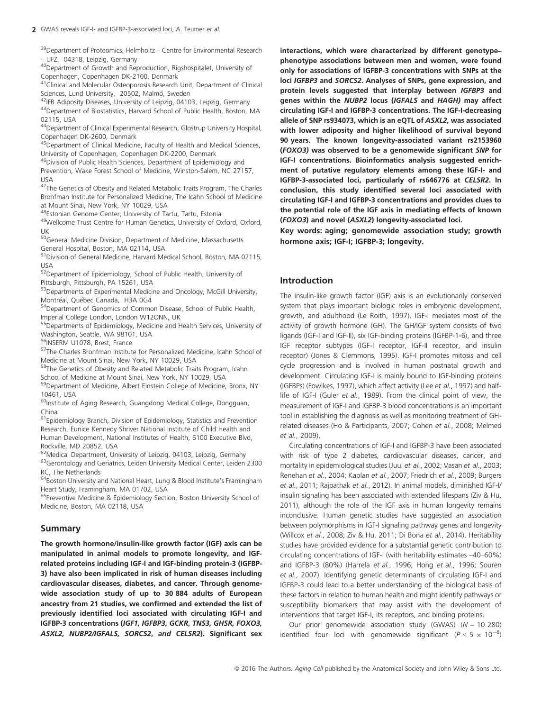<sup>39</sup>Department of Proteomics, Helmholtz – Centre for Environmental Research – UFZ, 04318, Leipzig, Germany

40Department of Growth and Reproduction, Rigshospitalet, University of Copenhagen, Copenhagen DK-2100, Denmark

<sup>41</sup>Clinical and Molecular Osteoporosis Research Unit, Department of Clinical Sciences, Lund University, 20502, Malmö, Sweden

<sup>42</sup>IFB Adiposity Diseases, University of Leipzig, 04103, Leipzig, Germany 43 Department of Biostatistics, Harvard School of Public Health, Boston, MA 02115, USA

44Department of Clinical Experimental Research, Glostrup University Hospital, Copenhagen DK-2600, Denmark

45 Department of Clinical Medicine, Faculty of Health and Medical Sciences, University of Copenhagen, Copenhagen DK-2200, Denmark

46Division of Public Health Sciences, Department of Epidemiology and Prevention, Wake Forest School of Medicine, Winston-Salem, NC 27157, USA

<sup>47</sup>The Genetics of Obesity and Related Metabolic Traits Program, The Charles Bronfman Institute for Personalized Medicine, The Icahn School of Medicine at Mount Sinai, New York, NY 10029, USA

48Estonian Genome Center, University of Tartu, Tartu, Estonia

49Wellcome Trust Centre for Human Genetics, University of Oxford, Oxford, UK

50General Medicine Division, Department of Medicine, Massachusetts General Hospital, Boston, MA 02114, USA

51Division of General Medicine, Harvard Medical School, Boston, MA 02115, USA

52Department of Epidemiology, School of Public Health, University of Pittsburgh, Pittsburgh, PA 15261, USA

<sup>53</sup>Departments of Experimental Medicine and Oncology, McGill University, Montréal, Québec Canada, H3A 0G4

<sup>54</sup>Department of Genomics of Common Disease, School of Public Health, Imperial College London, London W12ONN, UK

55Departments of Epidemiology, Medicine and Health Services, University of Washington, Seattle, WA 98101, USA

<sup>56</sup>INSERM U1078, Brest, France

57The Charles Bronfman Institute for Personalized Medicine, Icahn School of Medicine at Mount Sinai, New York, NY 10029, USA

58The Genetics of Obesity and Related Metabolic Traits Program, Icahn School of Medicine at Mount Sinai, New York, NY 10029, USA

59Department of Medicine, Albert Einstein College of Medicine, Bronx, NY 10461, USA

<sup>60</sup>Institute of Aging Research, Guangdong Medical College, Dongguan, China

61Epidemiology Branch, Division of Epidemiology, Statistics and Prevention Research, Eunice Kennedy Shriver National Institute of Child Health and Human Development, National Institutes of Health, 6100 Executive Blvd, Rockville, MD 20852, USA

<sup>62</sup>Medical Department, University of Leipzig, 04103, Leipzig, Germany <sup>63</sup>Gerontology and Geriatrics, Leiden University Medical Center, Leiden 2300 RC, The Netherlands

<sup>64</sup>Boston University and National Heart, Lung & Blood Institute's Framingham Heart Study, Framingham, MA 01702, USA

<sup>65</sup>Preventive Medicine & Epidemiology Section, Boston University School of Medicine, Boston, MA 02118, USA

# Summary

The growth hormone/insulin-like growth factor (IGF) axis can be manipulated in animal models to promote longevity, and IGFrelated proteins including IGF-I and IGF-binding protein-3 (IGFBP-3) have also been implicated in risk of human diseases including cardiovascular diseases, diabetes, and cancer. Through genomewide association study of up to 30 884 adults of European ancestry from 21 studies, we confirmed and extended the list of previously identified loci associated with circulating IGF-I and IGFBP-3 concentrations (IGF1, IGFBP3, GCKR, TNS3, GHSR, FOXO3, ASXL2, NUBP2/IGFALS, SORCS2, and CELSR2). Significant sex interactions, which were characterized by different genotype– phenotype associations between men and women, were found only for associations of IGFBP-3 concentrations with SNPs at the loci IGFBP3 and SORCS2. Analyses of SNPs, gene expression, and protein levels suggested that interplay between IGFBP3 and genes within the NUBP2 locus (IGFALS and HAGH) may affect circulating IGF-I and IGFBP-3 concentrations. The IGF-I-decreasing allele of SNP rs934073, which is an eQTL of ASXL2, was associated with lower adiposity and higher likelihood of survival beyond 90 years. The known longevity-associated variant rs2153960 (FOXO3) was observed to be a genomewide significant SNP for IGF-I concentrations. Bioinformatics analysis suggested enrichment of putative regulatory elements among these IGF-I- and IGFBP-3-associated loci, particularly of rs646776 at CELSR2. In conclusion, this study identified several loci associated with circulating IGF-I and IGFBP-3 concentrations and provides clues to the potential role of the IGF axis in mediating effects of known (FOXO3) and novel (ASXL2) longevity-associated loci.

Key words: aging; genomewide association study; growth hormone axis; IGF-I; IGFBP-3; longevity.

# Introduction

The insulin-like growth factor (IGF) axis is an evolutionarily conserved system that plays important biologic roles in embryonic development, growth, and adulthood (Le Roith, 1997). IGF-I mediates most of the activity of growth hormone (GH). The GH/IGF system consists of two ligands (IGF-I and IGF-II), six IGF-binding proteins (IGFBP-1-6), and three IGF receptor subtypes (IGF-I receptor, IGF-II receptor, and insulin receptor) (Jones & Clemmons, 1995). IGF-I promotes mitosis and cell cycle progression and is involved in human postnatal growth and development. Circulating IGF-I is mainly bound to IGF-binding proteins (IGFBPs) (Fowlkes, 1997), which affect activity (Lee et al., 1997) and halflife of IGF-I (Guler et al., 1989). From the clinical point of view, the measurement of IGF-I and IGFBP-3 blood concentrations is an important tool in establishing the diagnosis as well as monitoring treatment of GHrelated diseases (Ho & Participants, 2007; Cohen et al., 2008; Melmed et al., 2009).

Circulating concentrations of IGF-I and IGFBP-3 have been associated with risk of type 2 diabetes, cardiovascular diseases, cancer, and mortality in epidemiological studies (Juul et al., 2002; Vasan et al., 2003; Renehan et al., 2004; Kaplan et al., 2007; Friedrich et al., 2009; Burgers et al., 2011; Rajpathak et al., 2012). In animal models, diminished IGF-I/ insulin signaling has been associated with extended lifespans (Ziv & Hu, 2011), although the role of the IGF axis in human longevity remains inconclusive. Human genetic studies have suggested an association between polymorphisms in IGF-I signaling pathway genes and longevity (Willcox et al., 2008; Ziv & Hu, 2011; Di Bona et al., 2014). Heritability studies have provided evidence for a substantial genetic contribution to circulating concentrations of IGF-I (with heritability estimates ~40–60%) and IGFBP-3 (80%) (Harrela et al., 1996; Hong et al., 1996; Souren et al., 2007). Identifying genetic determinants of circulating IGF-I and IGFBP-3 could lead to a better understanding of the biological basis of these factors in relation to human health and might identify pathways or susceptibility biomarkers that may assist with the development of interventions that target IGF-I, its receptors, and binding proteins.

Our prior genomewide association study (GWAS) ( $N = 10280$ ) identified four loci with genomewide significant ( $P < 5 \times 10^{-8}$ )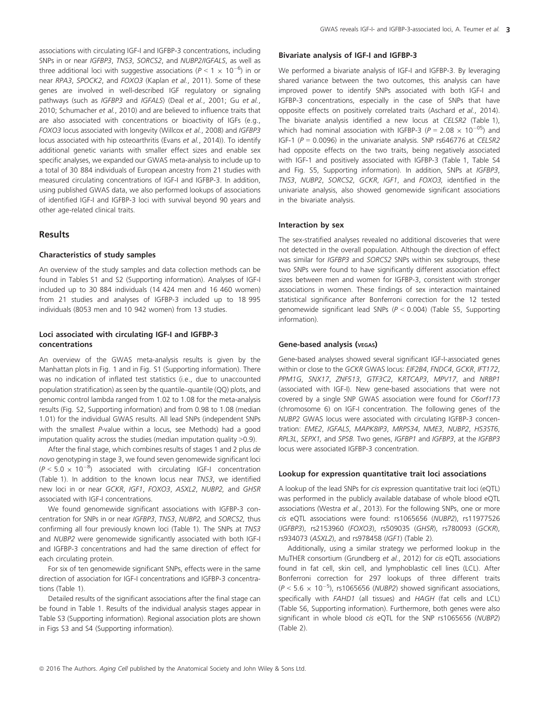associations with circulating IGF-I and IGFBP-3 concentrations, including SNPs in or near IGFBP3, TNS3, SORCS2, and NUBP2/IGFALS, as well as three additional loci with suggestive associations ( $P < 1 \times 10^{-6}$ ) in or near RPA3, SPOCK2, and FOXO3 (Kaplan et al., 2011). Some of these genes are involved in well-described IGF regulatory or signaling pathways (such as IGFBP3 and IGFALS) (Deal et al., 2001; Gu et al., 2010; Schumacher et al., 2010) and are believed to influence traits that are also associated with concentrations or bioactivity of IGFs (e.g., FOXO3 locus associated with longevity (Willcox et al., 2008) and IGFBP3 locus associated with hip osteoarthritis (Evans et al., 2014)). To identify additional genetic variants with smaller effect sizes and enable sex specific analyses, we expanded our GWAS meta-analysis to include up to a total of 30 884 individuals of European ancestry from 21 studies with measured circulating concentrations of IGF-I and IGFBP-3. In addition, using published GWAS data, we also performed lookups of associations of identified IGF-I and IGFBP-3 loci with survival beyond 90 years and other age-related clinical traits.

# Results

#### Characteristics of study samples

An overview of the study samples and data collection methods can be found in Tables S1 and S2 (Supporting information). Analyses of IGF-I included up to 30 884 individuals (14 424 men and 16 460 women) from 21 studies and analyses of IGFBP-3 included up to 18 995 individuals (8053 men and 10 942 women) from 13 studies.

# Loci associated with circulating IGF-I and IGFBP-3 concentrations

An overview of the GWAS meta-analysis results is given by the Manhattan plots in Fig. 1 and in Fig. S1 (Supporting information). There was no indication of inflated test statistics (i.e., due to unaccounted population stratification) as seen by the quantile–quantile (QQ) plots, and genomic control lambda ranged from 1.02 to 1.08 for the meta-analysis results (Fig. S2, Supporting information) and from 0.98 to 1.08 (median 1.01) for the individual GWAS results. All lead SNPs (independent SNPs with the smallest P-value within a locus, see Methods) had a good imputation quality across the studies (median imputation quality >0.9).

After the final stage, which combines results of stages 1 and 2 plus de novo genotyping in stage 3, we found seven genomewide significant loci  $(P < 5.0 \times 10^{-8})$  associated with circulating IGF-I concentration (Table 1). In addition to the known locus near TNS3, we identified new loci in or near GCKR, IGF1, FOXO3, ASXL2, NUBP2, and GHSR associated with IGF-I concentrations.

We found genomewide significant associations with IGFBP-3 concentration for SNPs in or near IGFBP3, TNS3, NUBP2, and SORCS2, thus confirming all four previously known loci (Table 1). The SNPs at TNS3 and NUBP2 were genomewide significantly associated with both IGF-I and IGFBP-3 concentrations and had the same direction of effect for each circulating protein.

For six of ten genomewide significant SNPs, effects were in the same direction of association for IGF-I concentrations and IGFBP-3 concentrations (Table 1).

Detailed results of the significant associations after the final stage can be found in Table 1. Results of the individual analysis stages appear in Table S3 (Supporting information). Regional association plots are shown in Figs S3 and S4 (Supporting information).

# Bivariate analysis of IGF-I and IGFBP-3

We performed a bivariate analysis of IGF-I and IGFBP-3. By leveraging shared variance between the two outcomes, this analysis can have improved power to identify SNPs associated with both IGF-I and IGFBP-3 concentrations, especially in the case of SNPs that have opposite effects on positively correlated traits (Aschard et al., 2014). The bivariate analysis identified a new locus at CELSR2 (Table 1), which had nominal association with IGFBP-3 ( $P = 2.08 \times 10^{-05}$ ) and IGF-1 ( $P = 0.0096$ ) in the univariate analysis. SNP rs646776 at CELSR2 had opposite effects on the two traits, being negatively associated with IGF-1 and positively associated with IGFBP-3 (Table 1, Table S4 and Fig. S5, Supporting information). In addition, SNPs at IGFBP3, TNS3, NUBP2, SORCS2, GCKR, IGF1, and FOXO3, identified in the univariate analysis, also showed genomewide significant associations in the bivariate analysis.

#### Interaction by sex

The sex-stratified analyses revealed no additional discoveries that were not detected in the overall population. Although the direction of effect was similar for IGFBP3 and SORCS2 SNPs within sex subgroups, these two SNPs were found to have significantly different association effect sizes between men and women for IGFBP-3, consistent with stronger associations in women. These findings of sex interaction maintained statistical significance after Bonferroni correction for the 12 tested genomewide significant lead SNPs  $(P < 0.004)$  (Table S5, Supporting information).

#### Gene-based analysis (VEGAS)

Gene-based analyses showed several significant IGF-I-associated genes within or close to the GCKR GWAS locus: EIF2B4, FNDC4, GCKR, IFT172, PPM1G, SNX17, ZNF513, GTF3C2, KRTCAP3, MPV17, and NRBP1 (associated with IGF-I). New gene-based associations that were not covered by a single SNP GWAS association were found for C6orf173 (chromosome 6) on IGF-I concentration. The following genes of the NUBP2 GWAS locus were associated with circulating IGFBP-3 concentration: EME2, IGFALS, MAPK8IP3, MRPS34, NME3, NUBP2, HS3ST6, RPL3L, SEPX1, and SPSB. Two genes, IGFBP1 and IGFBP3, at the IGFBP3 locus were associated IGFBP-3 concentration.

# Lookup for expression quantitative trait loci associations

A lookup of the lead SNPs for cis expression quantitative trait loci (eQTL) was performed in the publicly available database of whole blood eQTL associations (Westra et al., 2013). For the following SNPs, one or more cis eQTL associations were found: rs1065656 (NUBP2), rs11977526 (IGFBP3), rs2153960 (FOXO3), rs509035 (GHSR), rs780093 (GCKR), rs934073 (ASXL2), and rs978458 (IGF1) (Table 2).

Additionally, using a similar strategy we performed lookup in the MuTHER consortium (Grundberg et al., 2012) for cis eQTL associations found in fat cell, skin cell, and lymphoblastic cell lines (LCL). After Bonferroni correction for 297 lookups of three different traits  $(P < 5.6 \times 10^{-5})$ , rs1065656 (NUBP2) showed significant associations, specifically with FAHD1 (all tissues) and HAGH (fat cells and LCL) (Table S6, Supporting information). Furthermore, both genes were also significant in whole blood cis eQTL for the SNP rs1065656 (NUBP2) (Table 2).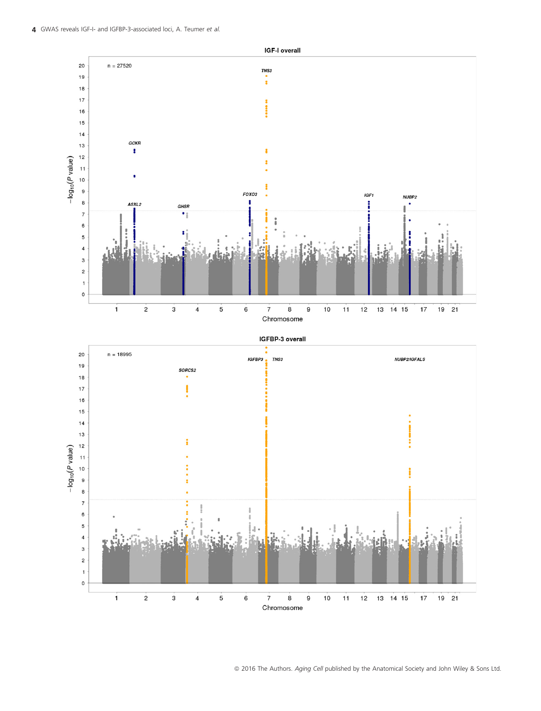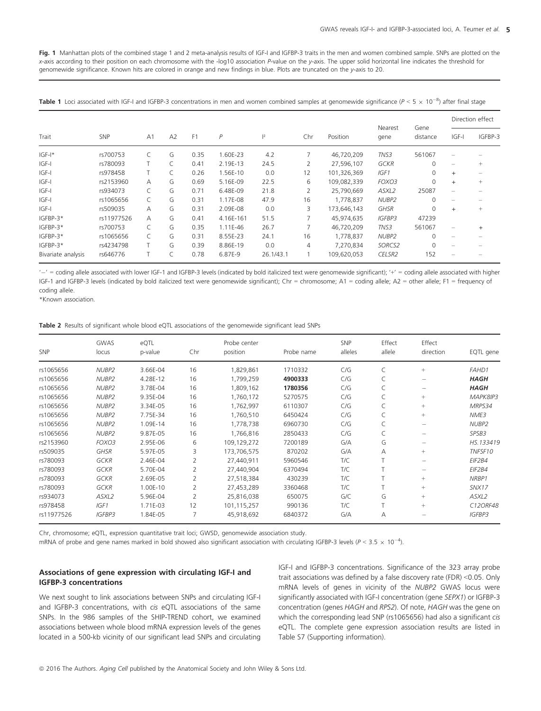Fig. 1 Manhattan plots of the combined stage 1 and 2 meta-analysis results of IGF-I and IGFBP-3 traits in the men and women combined sample. SNPs are plotted on the x-axis according to their position on each chromosome with the -log10 association P-value on the y-axis. The upper solid horizontal line indicates the threshold for genomewide significance. Known hits are colored in orange and new findings in blue. Plots are truncated on the y-axis to 20.

**Table 1** Loci associated with IGF-I and IGFBP-3 concentrations in men and women combined samples at genomewide significance  $(P < 5 \times 10^{-8})$  after final stage

| Trait              | <b>SNP</b> | A <sub>1</sub> | A <sub>2</sub> | F1   | P         | $ 2\rangle$ | Chr            | Position    | Nearest<br>gene   | Gene<br>distance | Direction effect         |         |
|--------------------|------------|----------------|----------------|------|-----------|-------------|----------------|-------------|-------------------|------------------|--------------------------|---------|
|                    |            |                |                |      |           |             |                |             |                   |                  | $IGF-I$                  | IGFBP-3 |
| $ GF-I^* $         | rs700753   |                | G              | 0.35 | I.60E-23  | 4.2         | 7              | 46,720,209  | TNS3              | 561067           |                          |         |
| $IGF-I$            | rs780093   |                | C              | 0.41 | 2.19E-13  | 24.5        | $\overline{2}$ | 27,596,107  | GCKR              | 0                | $\overline{\phantom{0}}$ | $^{+}$  |
| $IGF-I$            | rs978458   |                | C              | 0.26 | .56E-10   | 0.0         | 12             | 101,326,369 | IGF1              | 0                | $^{+}$                   |         |
| $IGF-I$            | rs2153960  | А              | G              | 0.69 | 5.16E-09  | 22.5        | 6              | 109,082,339 | FOXO3             | $\Omega$         | $^{+}$                   | $^{+}$  |
| IGF-I              | rs934073   |                | G              | 0.71 | 6.48E-09  | 21.8        | 2              | 25,790,669  | ASXL <sub>2</sub> | 25087            | -                        |         |
| $IGF-I$            | rs1065656  | $\mathsf{C}$   | G              | 0.31 | 1.17E-08  | 47.9        | 16             | 1.778.837   | NUBP <sub>2</sub> | 0                | $\overline{\phantom{0}}$ |         |
| $IGF-I$            | rs509035   | А              | G              | 0.31 | 2.09E-08  | 0.0         | 3              | 173,646,143 | GHSR              | $\Omega$         | $^{+}$                   | $^{+}$  |
| $IGFBP-3*$         | rs11977526 | А              | G              | 0.41 | 4.16E-161 | 51.5        | 7              | 45.974.635  | <b>IGFBP3</b>     | 47239            |                          |         |
| $IGFBP-3*$         | rs700753   |                | G              | 0.35 | 1.11E-46  | 26.7        | $\overline{7}$ | 46,720,209  | TNS3              | 561067           |                          | $+$     |
| $IGFBP-3*$         | rs1065656  | C              | G              | 0.31 | 8.55E-23  | 24.1        | 16             | 1,778,837   | NUBP <sub>2</sub> | 0                |                          |         |
| $IGFBP-3*$         | rs4234798  |                | G              | 0.39 | 8.86E-19  | 0.0         | $\overline{4}$ | 7.270.834   | SORCS2            | $\Omega$         | -                        |         |
| Bivariate analysis | rs646776   |                | $\subset$      | 0.78 | 6.87E-9   | 26.1/43.1   |                | 109,620,053 | CELSR2            | 152              |                          |         |

 $'-$  = coding allele associated with lower IGF-1 and IGFBP-3 levels (indicated by bold italicized text were genomewide significant);  $'+'$  = coding allele associated with higher IGF-1 and IGFBP-3 levels (indicated by bold italicized text were genomewide significant); Chr = chromosome; A1 = coding allele; A2 = other allele; F1 = frequency of coding allele.

\*Known association.

Table 2 Results of significant whole blood eQTL associations of the genomewide significant lead SNPs

| <b>SNP</b> | GWAS<br>locus | eQTL<br>p-value | Chr            | Probe center<br>position | Probe name | SNP<br>alleles | Effect<br>allele | Effect<br>direction      | EQTL gene           |
|------------|---------------|-----------------|----------------|--------------------------|------------|----------------|------------------|--------------------------|---------------------|
|            |               |                 |                |                          |            |                |                  |                          |                     |
| rs1065656  | NUBP2         | 3.66E-04        | 16             | 1,829,861                | 1710332    | C/G            |                  | $^{+}$                   | <b>FAHD1</b>        |
| rs1065656  | NUBP2         | 4.28E-12        | 16             | 1,799,259                | 4900333    | C/G            |                  |                          | <b>HAGH</b>         |
| rs1065656  | NUBP2         | 3.78E-04        | 16             | 1,809,162                | 1780356    | C/G            |                  | $\overline{\phantom{0}}$ | <b>HAGH</b>         |
| rs1065656  | NUBP2         | 9.35E-04        | 16             | 1,760,172                | 5270575    | C/G            |                  | $^{+}$                   | MAPK8IP3            |
| rs1065656  | NUBP2         | 3.34E-05        | 16             | 1,762,997                | 6110307    | C/G            |                  | $^{+}$                   | MRPS34              |
| rs1065656  | NUBP2         | 7.75E-34        | 16             | 1,760,510                | 6450424    | C/G            |                  | $^{+}$                   | NME3                |
| rs1065656  | NUBP2         | 1.09E-14        | 16             | 1,778,738                | 6960730    | C/G            |                  |                          | NUBP <sub>2</sub>   |
| rs1065656  | NUBP2         | 9.87E-05        | 16             | 1,766,816                | 2850433    | C/G            |                  |                          | SPSB <sub>3</sub>   |
| rs2153960  | FOXO3         | 2.95E-06        | 6              | 109,129,272              | 7200189    | G/A            | G                | -                        | HS.133419           |
| rs509035   | <b>GHSR</b>   | 5.97E-05        | 3              | 173,706,575              | 870202     | G/A            | А                | $^{+}$                   | TNFSF10             |
| rs780093   | <b>GCKR</b>   | 2.46E-04        | $\overline{2}$ | 27,440,911               | 5960546    | T/C            |                  |                          | EIF2B4              |
| rs780093   | <b>GCKR</b>   | 5.70E-04        | $\overline{2}$ | 27,440,904               | 6370494    | T/C            |                  |                          | EIF <sub>2</sub> B4 |
| rs780093   | <b>GCKR</b>   | 2.69E-05        | $\overline{2}$ | 27,518,384               | 430239     | T/C            | $\tau$           | $^{+}$                   | NRBP1               |
| rs780093   | <b>GCKR</b>   | 1.00E-10        | 2              | 27,453,289               | 3360468    | T/C            |                  | $^{+}$                   | SNX17               |
| rs934073   | ASXL2         | 5.96E-04        | $\overline{2}$ | 25,816,038               | 650075     | G/C            | G                | $^{+}$                   | ASXL <sub>2</sub>   |
| rs978458   | IGF1          | 1.71E-03        | 12             | 101,115,257              | 990136     | T/C            | $\tau$           | $^{+}$                   | C12ORF48            |
| rs11977526 | <b>IGFBP3</b> | 1.84E-05        | 7              | 45,918,692               | 6840372    | G/A            | А                |                          | <b>IGFBP3</b>       |

Chr, chromosome; eQTL, expression quantitative trait loci; GWSD, genomewide association study.

mRNA of probe and gene names marked in bold showed also significant association with circulating IGFBP-3 levels ( $P < 3.5 \times 10^{-4}$ ).

# Associations of gene expression with circulating IGF-I and IGFBP-3 concentrations

We next sought to link associations between SNPs and circulating IGF-I and IGFBP-3 concentrations, with cis eQTL associations of the same SNPs. In the 986 samples of the SHIP-TREND cohort, we examined associations between whole blood mRNA expression levels of the genes located in a 500-kb vicinity of our significant lead SNPs and circulating IGF-I and IGFBP-3 concentrations. Significance of the 323 array probe trait associations was defined by a false discovery rate (FDR) <0.05. Only mRNA levels of genes in vicinity of the NUBP2 GWAS locus were significantly associated with IGF-I concentration (gene SEPX1) or IGFBP-3 concentration (genes HAGH and RPS2). Of note, HAGH was the gene on which the corresponding lead SNP (rs1065656) had also a significant cis eQTL. The complete gene expression association results are listed in Table S7 (Supporting information).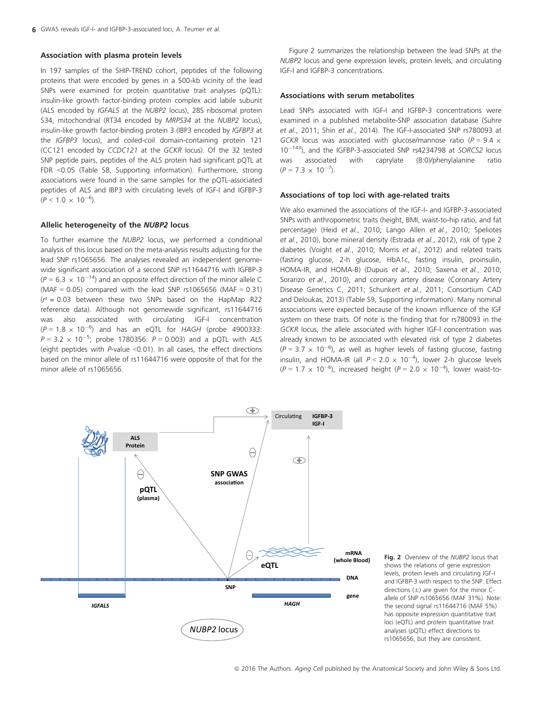# Association with plasma protein levels

In 197 samples of the SHIP-TREND cohort, peptides of the following proteins that were encoded by genes in a 500-kb vicinity of the lead SNPs were examined for protein quantitative trait analyses (pQTL): insulin-like growth factor-binding protein complex acid labile subunit (ALS encoded by IGFALS at the NUBP2 locus), 28S ribosomal protein S34, mitochondrial (RT34 encoded by MRPS34 at the NUBP2 locus), insulin-like growth factor-binding protein 3 (IBP3 encoded by IGFBP3 at the IGFBP3 locus), and coiled-coil domain-containing protein 121 (CC121 encoded by CCDC121 at the GCKR locus). Of the 32 tested SNP peptide pairs, peptides of the ALS protein had significant pQTL at FDR <0.05 (Table S8, Supporting information). Furthermore, strong associations were found in the same samples for the pQTL-associated peptides of ALS and IBP3 with circulating levels of IGF-I and IGFBP-3  $(P < 1.0 \times 10^{-6}).$ 

#### Allelic heterogeneity of the NUBP2 locus

To further examine the NUBP2 locus, we performed a conditional analysis of this locus based on the meta-analysis results adjusting for the lead SNP rs1065656. The analyses revealed an independent genomewide significant association of a second SNP rs11644716 with IGFBP-3  $(P = 6.3 \times 10^{-14})$  and an opposite effect direction of the minor allele C  $(MAF = 0.05)$  compared with the lead SNP rs1065656 (MAF = 0.31)  $(r^2 = 0.03$  between these two SNPs based on the HapMap R22 reference data). Although not genomewide significant, rs11644716 was also associated with circulating IGF-I concentration  $(P = 1.8 \times 10^{-6})$  and has an eQTL for *HAGH* (probe 4900333:  $P = 3.2 \times 10^{-5}$ ; probe 1780356:  $P = 0.003$ ) and a pQTL with ALS (eight peptides with P-value <0.01). In all cases, the effect directions based on the minor allele of rs11644716 were opposite of that for the minor allele of rs1065656.

Figure 2 summarizes the relationship between the lead SNPs at the NUBP2 locus and gene expression levels, protein levels, and circulating IGF-I and IGFBP-3 concentrations.

# Associations with serum metabolites

Lead SNPs associated with IGF-I and IGFBP-3 concentrations were examined in a published metabolite-SNP association database (Suhre et al., 2011; Shin et al., 2014). The IGF-I-associated SNP rs780093 at GCKR locus was associated with glucose/mannose ratio ( $P = 9.4 \times$  $10^{-143}$ ), and the IGFBP-3-associated SNP rs4234798 at SORCS2 locus was associated with caprylate (8:0)/phenylalanine ratio  $(P = 7.3 \times 10^{-7})$ .

#### Associations of top loci with age-related traits

We also examined the associations of the IGF-I- and IGFBP-3-associated SNPs with anthropometric traits (height, BMI, waist-to-hip ratio, and fat percentage) (Heid et al., 2010; Lango Allen et al., 2010; Speliotes et al., 2010), bone mineral density (Estrada et al., 2012), risk of type 2 diabetes (Voight et al., 2010; Morris et al., 2012) and related traits (fasting glucose, 2-h glucose, HbA1c, fasting insulin, proinsulin, HOMA-IR, and HOMA-B) (Dupuis et al., 2010; Saxena et al., 2010; Soranzo et al., 2010), and coronary artery disease (Coronary Artery Disease Genetics C, 2011; Schunkert et al., 2011; Consortium CAD and Deloukas, 2013) (Table S9, Supporting information). Many nominal associations were expected because of the known influence of the IGF system on these traits. Of note is the finding that for rs780093 in the GCKR locus, the allele associated with higher IGF-I concentration was already known to be associated with elevated risk of type 2 diabetes  $(P = 3.7 \times 10^{-6})$ , as well as higher levels of fasting glucose, fasting insulin, and HOMA-IR (all  $P < 2.0 \times 10^{-4}$ ), lower 2-h glucose levels  $(P = 1.7 \times 10^{-6})$ , increased height  $(P = 2.0 \times 10^{-4})$ , lower waist-to-



Fig. 2 Overview of the NUBP2 locus that shows the relations of gene expression levels, protein levels and circulating IGF-I and IGFBP-3 with respect to the SNP. Effect directions  $(\pm)$  are given for the minor Callele of SNP rs1065656 (MAF 31%). Note: the second signal rs11644716 (MAF 5%) has opposite expression quantitative trait loci (eQTL) and protein quantitative trait analyses (pQTL) effect directions to rs1065656, but they are consistent.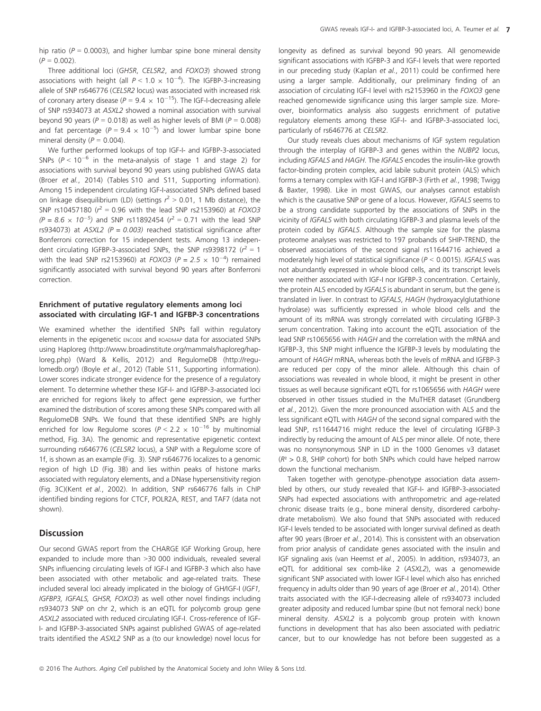Three additional loci (GHSR, CELSR2, and FOXO3) showed strong associations with height (all  $P < 1.0 \times 10^{-4}$ ). The IGFBP-3-increasing allele of SNP rs646776 (CELSR2 locus) was associated with increased risk of coronary artery disease ( $P = 9.4 \times 10^{-15}$ ). The IGF-I-decreasing allele of SNP rs934073 at ASXL2 showed a nominal association with survival beyond 90 years ( $P = 0.018$ ) as well as higher levels of BMI ( $P = 0.008$ ) and fat percentage ( $P = 9.4 \times 10^{-5}$ ) and lower lumbar spine bone mineral density  $(P = 0.004)$ .

We further performed lookups of top IGF-I- and IGFBP-3-associated SNPs ( $P < 10^{-6}$  in the meta-analysis of stage 1 and stage 2) for associations with survival beyond 90 years using published GWAS data (Broer et al., 2014) (Tables S10 and S11, Supporting information). Among 15 independent circulating IGF-I-associated SNPs defined based on linkage disequilibrium (LD) (settings  $r^2 > 0.01$ , 1 Mb distance), the SNP rs10457180 ( $r^2 = 0.96$  with the lead SNP rs2153960) at  $FOXO3$  $(P = 8.6 \times 10^{-5})$  and SNP rs11892454 ( $r^2 = 0.71$  with the lead SNP rs934073) at  $ASXL2$  ( $P = 0.003$ ) reached statistical significance after Bonferroni correction for 15 independent tests. Among 13 independent circulating IGFBP-3-associated SNPs, the SNP rs9398172 ( $r^2 = 1$ with the lead SNP rs2153960) at  $FOXO3$  ( $P = 2.5 \times 10^{-4}$ ) remained significantly associated with survival beyond 90 years after Bonferroni correction.

# Enrichment of putative regulatory elements among loci associated with circulating IGF-1 and IGFBP-3 concentrations

We examined whether the identified SNPs fall within regulatory elements in the epigenetic ENCODE and ROADMAP data for associated SNPs using Haploreg ([http://www.broadinstitute.org/mammals/haploreg/hap](http://www.broadinstitute.org/mammals/haploreg/haploreg.php)[loreg.php\)](http://www.broadinstitute.org/mammals/haploreg/haploreg.php) (Ward & Kellis, 2012) and RegulomeDB [\(http://regu](http://regulomedb.org/)[lomedb.org/](http://regulomedb.org/)) (Boyle et al., 2012) (Table S11, Supporting information). Lower scores indicate stronger evidence for the presence of a regulatory element. To determine whether these IGF-I- and IGFBP-3-associated loci are enriched for regions likely to affect gene expression, we further examined the distribution of scores among these SNPs compared with all RegulomeDB SNPs. We found that these identified SNPs are highly enriched for low Regulome scores ( $P < 2.2 \times 10^{-16}$  by multinomial method, Fig. 3A). The genomic and representative epigenetic context surrounding rs646776 (CELSR2 locus), a SNP with a Regulome score of 1f, is shown as an example (Fig. 3). SNP rs646776 localizes to a genomic region of high LD (Fig. 3B) and lies within peaks of histone marks associated with regulatory elements, and a DNase hypersensitivity region (Fig. 3C)(Kent et al., 2002). In addition, SNP rs646776 falls in ChIP identified binding regions for CTCF, POLR2A, REST, and TAF7 (data not shown).

# **Discussion**

Our second GWAS report from the CHARGE IGF Working Group, here expanded to include more than >30 000 individuals, revealed several SNPs influencing circulating levels of IGF-I and IGFBP-3 which also have been associated with other metabolic and age-related traits. These included several loci already implicated in the biology of GH/IGF-I (IGF1, IGFBP3, IGFALS, GHSR, FOXO3) as well other novel findings including rs934073 SNP on chr 2, which is an eQTL for polycomb group gene ASXL2 associated with reduced circulating IGF-I. Cross-reference of IGF-I- and IGFBP-3-associated SNPs against published GWAS of age-related traits identified the ASXL2 SNP as a (to our knowledge) novel locus for longevity as defined as survival beyond 90 years. All genomewide significant associations with IGFBP-3 and IGF-I levels that were reported in our preceding study (Kaplan et al., 2011) could be confirmed here using a larger sample. Additionally, our preliminary finding of an association of circulating IGF-I level with rs2153960 in the FOXO3 gene reached genomewide significance using this larger sample size. Moreover, bioinformatics analysis also suggests enrichment of putative regulatory elements among these IGF-I- and IGFBP-3-associated loci, particularly of rs646776 at CELSR2.

Our study reveals clues about mechanisms of IGF system regulation through the interplay of IGFBP-3 and genes within the NUBP2 locus, including IGFALS and HAGH. The IGFALS encodes the insulin-like growth factor-binding protein complex, acid labile subunit protein (ALS) which forms a ternary complex with IGF-I and IGFBP-3 (Firth et al., 1998; Twigg & Baxter, 1998). Like in most GWAS, our analyses cannot establish which is the causative SNP or gene of a locus. However, IGFALS seems to be a strong candidate supported by the associations of SNPs in the vicinity of IGFALS with both circulating IGFBP-3 and plasma levels of the protein coded by IGFALS. Although the sample size for the plasma proteome analyses was restricted to 197 probands of SHIP-TREND, the observed associations of the second signal rs11644716 achieved a moderately high level of statistical significance ( $P < 0.0015$ ). IGFALS was not abundantly expressed in whole blood cells, and its transcript levels were neither associated with IGF-I nor IGFBP-3 concentration. Certainly, the protein ALS encoded by IGFALS is abundant in serum, but the gene is translated in liver. In contrast to IGFALS, HAGH (hydroxyacylglutathione hydrolase) was sufficiently expressed in whole blood cells and the amount of its mRNA was strongly correlated with circulating IGFBP-3 serum concentration. Taking into account the eQTL association of the lead SNP rs1065656 with HAGH and the correlation with the mRNA and IGFBP-3, this SNP might influence the IGFBP-3 levels by modulating the amount of HAGH mRNA, whereas both the levels of mRNA and IGFBP-3 are reduced per copy of the minor allele. Although this chain of associations was revealed in whole blood, it might be present in other tissues as well because significant eQTL for rs1065656 with HAGH were observed in other tissues studied in the MuTHER dataset (Grundberg et al., 2012). Given the more pronounced association with ALS and the less significant eQTL with HAGH of the second signal compared with the lead SNP, rs11644716 might reduce the level of circulating IGFBP-3 indirectly by reducing the amount of ALS per minor allele. Of note, there was no nonsynonymous SNP in LD in the 1000 Genomes v3 dataset  $(R<sup>2</sup> > 0.8,$  SHIP cohort) for both SNPs which could have helped narrow down the functional mechanism.

Taken together with genotype–phenotype association data assembled by others, our study revealed that IGF-I- and IGFBP-3-associated SNPs had expected associations with anthropometric and age-related chronic disease traits (e.g., bone mineral density, disordered carbohydrate metabolism). We also found that SNPs associated with reduced IGF-I levels tended to be associated with longer survival defined as death after 90 years (Broer et al., 2014). This is consistent with an observation from prior analysis of candidate genes associated with the insulin and IGF signaling axis (van Heemst et al., 2005). In addition, rs934073, an eQTL for additional sex comb-like 2 (ASXL2), was a genomewide significant SNP associated with lower IGF-I level which also has enriched frequency in adults older than 90 years of age (Broer et al., 2014). Other traits associated with the IGF-I-decreasing allele of rs934073 included greater adiposity and reduced lumbar spine (but not femoral neck) bone mineral density. ASXL2 is a polycomb group protein with known functions in development that has also been associated with pediatric cancer, but to our knowledge has not before been suggested as a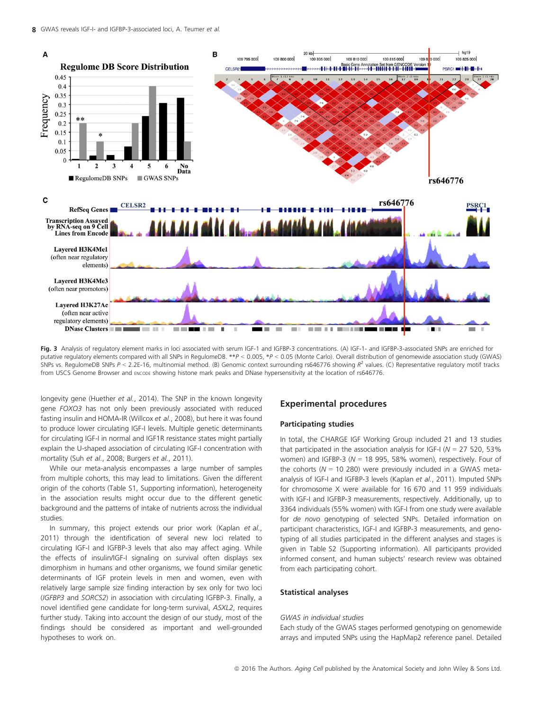

Fig. 3 Analysis of regulatory element marks in loci associated with serum IGF-1 and IGFBP-3 concentrations. (A) IGF-1- and IGFBP-3-associated SNPs are enriched for putative regulatory elements compared with all SNPs in RegulomeDB. \*\*P < 0.005, \*P < 0.05 (Monte Carlo). Overall distribution of genomewide association study (GWAS) SNPs vs. RegulomeDB SNPs  $P < 2.2E-16$ , multinomial method. (B) Genomic context surrounding rs646776 showing  $R^2$  values. (C) Representative regulatory motif tracks from USCS Genome Browser and ENCODE showing histone mark peaks and DNase hypersensitivity at the location of rs646776.

longevity gene (Huether et al., 2014). The SNP in the known longevity gene FOXO3 has not only been previously associated with reduced fasting insulin and HOMA-IR (Willcox et al., 2008), but here it was found to produce lower circulating IGF-I levels. Multiple genetic determinants for circulating IGF-I in normal and IGF1R resistance states might partially explain the U-shaped association of circulating IGF-I concentration with mortality (Suh et al., 2008; Burgers et al., 2011).

While our meta-analysis encompasses a large number of samples from multiple cohorts, this may lead to limitations. Given the different origin of the cohorts (Table S1, Supporting information), heterogeneity in the association results might occur due to the different genetic background and the patterns of intake of nutrients across the individual studies.

In summary, this project extends our prior work (Kaplan et al., 2011) through the identification of several new loci related to circulating IGF-I and IGFBP-3 levels that also may affect aging. While the effects of insulin/IGF-I signaling on survival often displays sex dimorphism in humans and other organisms, we found similar genetic determinants of IGF protein levels in men and women, even with relatively large sample size finding interaction by sex only for two loci (IGFBP3 and SORCS2) in association with circulating IGFBP-3. Finally, a novel identified gene candidate for long-term survival, ASXL2, requires further study. Taking into account the design of our study, most of the findings should be considered as important and well-grounded hypotheses to work on.

# Experimental procedures

### Participating studies

In total, the CHARGE IGF Working Group included 21 and 13 studies that participated in the association analysis for IGF-I ( $N = 27$  520, 53% women) and IGFBP-3 ( $N = 18$  995, 58% women), respectively. Four of the cohorts ( $N = 10$  280) were previously included in a GWAS metaanalysis of IGF-I and IGFBP-3 levels (Kaplan et al., 2011). Imputed SNPs for chromosome X were available for 16 670 and 11 959 individuals with IGF-I and IGFBP-3 measurements, respectively. Additionally, up to 3364 individuals (55% women) with IGF-I from one study were available for de novo genotyping of selected SNPs. Detailed information on participant characteristics, IGF-I and IGFBP-3 measurements, and genotyping of all studies participated in the different analyses and stages is given in Table S2 (Supporting information). All participants provided informed consent, and human subjects' research review was obtained from each participating cohort.

# Statistical analyses

# GWAS in individual studies

Each study of the GWAS stages performed genotyping on genomewide arrays and imputed SNPs using the HapMap2 reference panel. Detailed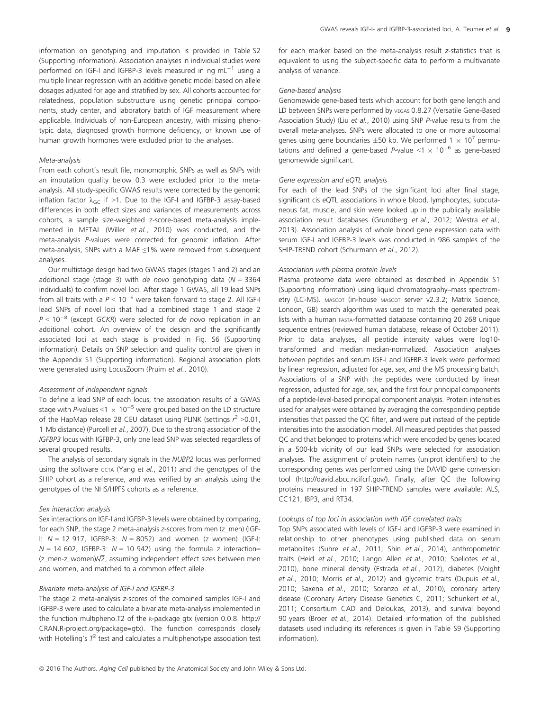information on genotyping and imputation is provided in Table S2 (Supporting information). Association analyses in individual studies were performed on IGF-I and IGFBP-3 levels measured in  $nq mL^{-1}$  using a multiple linear regression with an additive genetic model based on allele dosages adjusted for age and stratified by sex. All cohorts accounted for relatedness, population substructure using genetic principal components, study center, and laboratory batch of IGF measurement where applicable. Individuals of non-European ancestry, with missing phenotypic data, diagnosed growth hormone deficiency, or known use of human growth hormones were excluded prior to the analyses.

## Meta-analysis

From each cohort's result file, monomorphic SNPs as well as SNPs with an imputation quality below 0.3 were excluded prior to the metaanalysis. All study-specific GWAS results were corrected by the genomic inflation factor  $\lambda_{GC}$  if >1. Due to the IGF-I and IGFBP-3 assay-based differences in both effect sizes and variances of measurements across cohorts, a sample size-weighted z-score-based meta-analysis implemented in METAL (Willer et al., 2010) was conducted, and the meta-analysis P-values were corrected for genomic inflation. After meta-analysis, SNPs with a MAF ≤1% were removed from subsequent analyses.

Our multistage design had two GWAS stages (stages 1 and 2) and an additional stage (stage 3) with de novo genotyping data ( $N = 3364$ individuals) to confirm novel loci. After stage 1 GWAS, all 19 lead SNPs from all traits with a  $P < 10^{-6}$  were taken forward to stage 2. All IGF-I lead SNPs of novel loci that had a combined stage 1 and stage 2  $P < 10^{-8}$  (except GCKR) were selected for de novo replication in an additional cohort. An overview of the design and the significantly associated loci at each stage is provided in Fig. S6 (Supporting information). Details on SNP selection and quality control are given in the Appendix S1 (Supporting information). Regional association plots were generated using LocusZoom (Pruim et al., 2010).

#### Assessment of independent signals

To define a lead SNP of each locus, the association results of a GWAS stage with P-values <1  $\times$  10<sup>-5</sup> were grouped based on the LD structure of the HapMap release 28 CEU dataset using PLINK (settings  $r^2 > 0.01$ , 1 Mb distance) (Purcell et al., 2007). Due to the strong association of the IGFBP3 locus with IGFBP-3, only one lead SNP was selected regardless of several grouped results.

The analysis of secondary signals in the NUBP2 locus was performed using the software GCTA (Yang et al., 2011) and the genotypes of the SHIP cohort as a reference, and was verified by an analysis using the genotypes of the NHS/HPFS cohorts as a reference.

#### Sex interaction analysis

Sex interactions on IGF-I and IGFBP-3 levels were obtained by comparing, for each SNP, the stage 2 meta-analysis z-scores from men (z\_men) (IGF-I:  $N = 12917$ , IGFBP-3:  $N = 8052$ ) and women (z\_women) (IGF-I:  $N = 14$  602, IGFBP-3:  $N = 10$  942) using the formula z\_interaction= (z\_men-z\_women)/√2, assuming independent effect sizes between men and women, and matched to a common effect allele.

# Bivariate meta-analysis of IGF-I and IGFBP-3

The stage 2 meta-analysis z-scores of the combined samples IGF-I and IGFBP-3 were used to calculate a bivariate meta-analysis implemented in the function multipheno.T2 of the R-package gtx (version 0.0.8. [http://](http://CRAN.R-project.org/package=gtx) [CRAN.R-project.org/package=gtx\)](http://CRAN.R-project.org/package=gtx). The function corresponds closely with Hotelling's  $T^2$  test and calculates a multiphenotype association test

for each marker based on the meta-analysis result z-statistics that is equivalent to using the subject-specific data to perform a multivariate analysis of variance.

#### Gene-based analysis

Genomewide gene-based tests which account for both gene length and LD between SNPs were performed by VEGAS 0.8.27 (Versatile Gene-Based Association Study) (Liu et al., 2010) using SNP P-value results from the overall meta-analyses. SNPs were allocated to one or more autosomal genes using gene boundaries  $\pm 50$  kb. We performed 1  $\times$  10<sup>7</sup> permutations and defined a gene-based *P*-value <1  $\times$  10<sup>-6</sup> as gene-based genomewide significant.

#### Gene expression and eQTL analysis

For each of the lead SNPs of the significant loci after final stage, significant cis eQTL associations in whole blood, lymphocytes, subcutaneous fat, muscle, and skin were looked up in the publically available association result databases (Grundberg et al., 2012; Westra et al., 2013). Association analysis of whole blood gene expression data with serum IGF-I and IGFBP-3 levels was conducted in 986 samples of the SHIP-TREND cohort (Schurmann et al., 2012).

#### Association with plasma protein levels

Plasma proteome data were obtained as described in Appendix S1 (Supporting information) using liquid chromatography–mass spectrometry (LC-MS). MASCOT (in-house MASCOT server v2.3.2; Matrix Science, London, GB) search algorithm was used to match the generated peak lists with a human FASTA-formatted database containing 20 268 unique sequence entries (reviewed human database, release of October 2011). Prior to data analyses, all peptide intensity values were log10 transformed and median–median-normalized. Association analyses between peptides and serum IGF-I and IGFBP-3 levels were performed by linear regression, adjusted for age, sex, and the MS processing batch. Associations of a SNP with the peptides were conducted by linear regression, adjusted for age, sex, and the first four principal components of a peptide-level-based principal component analysis. Protein intensities used for analyses were obtained by averaging the corresponding peptide intensities that passed the QC filter, and were put instead of the peptide intensities into the association model. All measured peptides that passed QC and that belonged to proteins which were encoded by genes located in a 500-kb vicinity of our lead SNPs were selected for association analyses. The assignment of protein names (uniprot identifiers) to the corresponding genes was performed using the DAVID gene conversion tool ([http://david.abcc.ncifcrf.gov/\)](http://david.abcc.ncifcrf.gov/). Finally, after QC the following proteins measured in 197 SHIP-TREND samples were available: ALS, CC121, IBP3, and RT34.

# Lookups of top loci in association with IGF correlated traits

Top SNPs associated with levels of IGF-I and IGFBP-3 were examined in relationship to other phenotypes using published data on serum metabolites (Suhre et al., 2011; Shin et al., 2014), anthropometric traits (Heid et al., 2010; Lango Allen et al., 2010; Speliotes et al., 2010), bone mineral density (Estrada et al., 2012), diabetes (Voight et al., 2010; Morris et al., 2012) and glycemic traits (Dupuis et al., 2010; Saxena et al., 2010; Soranzo et al., 2010), coronary artery disease (Coronary Artery Disease Genetics C, 2011; Schunkert et al., 2011; Consortium CAD and Deloukas, 2013), and survival beyond 90 years (Broer et al., 2014). Detailed information of the published datasets used including its references is given in Table S9 (Supporting information).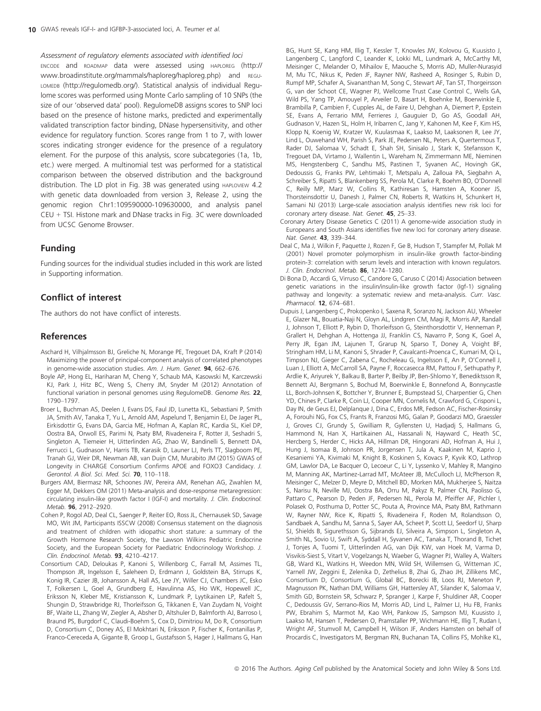#### Assessment of regulatory elements associated with identified loci

ENCODE and ROADMAP data were assessed using HAPLOREG ([http://](http://www.broadinstitute.org/mammals/haploreg/haploreg.php) [www.broadinstitute.org/mammals/haploreg/haploreg.php\)](http://www.broadinstitute.org/mammals/haploreg/haploreg.php) and REGU-LOMEDB (<http://regulomedb.org/>). Statistical analysis of individual Regulome scores was performed using Monte Carlo sampling of 10 SNPs (the size of our 'observed data' pool). RegulomeDB assigns scores to SNP loci based on the presence of histone marks, predicted and experimentally validated transcription factor binding, DNase hypersensitivity, and other evidence for regulatory function. Scores range from 1 to 7, with lower scores indicating stronger evidence for the presence of a regulatory element. For the purpose of this analysis, score subcategories (1a, 1b, etc.) were merged. A multinomial test was performed for a statistical comparison between the observed distribution and the background distribution. The LD plot in Fig. 3B was generated using HAPLOVIEW 4.2 with genetic data downloaded from version 3, Release 2, using the genomic region Chr1:109590000-109630000, and analysis panel CEU + TSI. Histone mark and DNase tracks in Fig. 3C were downloaded from UCSC Genome Browser.

# Funding

Funding sources for the individual studies included in this work are listed in Supporting information.

# Conflict of interest

The authors do not have conflict of interests.

# References

- Aschard H, Vilhjalmsson BJ, Greliche N, Morange PE, Tregouet DA, Kraft P (2014) Maximizing the power of principal-component analysis of correlated phenotypes in genome-wide association studies. Am. J. Hum. Genet. 94, 662-676.
- Boyle AP, Hong EL, Hariharan M, Cheng Y, Schaub MA, Kasowski M, Karczewski KJ, Park J, Hitz BC, Weng S, Cherry JM, Snyder M (2012) Annotation of functional variation in personal genomes using RegulomeDB. Genome Res. 22, 1790–1797.
- Broer L, Buchman AS, Deelen J, Evans DS, Faul JD, Lunetta KL, Sebastiani P, Smith JA, Smith AV, Tanaka T, Yu L, Arnold AM, Aspelund T, Benjamin EJ, De Jager PL, Eirkisdottir G, Evans DA, Garcia ME, Hofman A, Kaplan RC, Kardia SL, Kiel DP, Oostra BA, Orwoll ES, Parimi N, Psaty BM, Rivadeneira F, Rotter JI, Seshadri S, Singleton A, Tiemeier H, Uitterlinden AG, Zhao W, Bandinelli S, Bennett DA, Ferrucci L, Gudnason V, Harris TB, Karasik D, Launer LJ, Perls TT, Slagboom PE, Tranah GJ, Weir DR, Newman AB, van Duijn CM, Murabito JM (2015) GWAS of Longevity in CHARGE Consortium Confirms APOE and FOXO3 Candidacy. J. Gerontol. A Biol. Sci. Med. Sci. 70, 110–118.
- Burgers AM, Biermasz NR, Schoones JW, Pereira AM, Renehan AG, Zwahlen M, Egger M, Dekkers OM (2011) Meta-analysis and dose-response metaregression: circulating insulin-like growth factor I (IGF-I) and mortality. J. Clin. Endocrinol. Metab. 96, 2912–2920.
- Cohen P, Rogol AD, Deal CL, Saenger P, Reiter EO, Ross JL, Chernausek SD, Savage MO, Wit JM, Participants ISSCW (2008) Consensus statement on the diagnosis and treatment of children with idiopathic short stature: a summary of the Growth Hormone Research Society, the Lawson Wilkins Pediatric Endocrine Society, and the European Society for Paediatric Endocrinology Workshop. J. Clin. Endocrinol. Metab. 93, 4210-4217.
- Consortium CAD, Deloukas P, Kanoni S, Willenborg C, Farrall M, Assimes TL, Thompson JR, Ingelsson E, Saleheen D, Erdmann J, Goldstein BA, Stirrups K, Konig IR, Cazier JB, Johansson A, Hall AS, Lee JY, Willer CJ, Chambers JC, Esko T, Folkersen L, Goel A, Grundberg E, Havulinna AS, Ho WK, Hopewell JC, Eriksson N, Kleber ME, Kristiansson K, Lundmark P, Lyytikainen LP, Rafelt S, Shungin D, Strawbridge RJ, Thorleifsson G, Tikkanen E, Van Zuydam N, Voight BF, Waite LL, Zhang W, Ziegler A, Absher D, Altshuler D, Balmforth AJ, Barroso I, Braund PS, Burgdorf C, Claudi-Boehm S, Cox D, Dimitriou M, Do R, Consortium D, Consortium C, Doney AS, El Mokhtari N, Eriksson P, Fischer K, Fontanillas P, Franco-Cereceda A, Gigante B, Groop L, Gustafsson S, Hager J, Hallmans G, Han

BG, Hunt SE, Kang HM, Illig T, Kessler T, Knowles JW, Kolovou G, Kuusisto J, Langenberg C, Langford C, Leander K, Lokki ML, Lundmark A, McCarthy MI, Meisinger C, Melander O, Mihailov E, Maouche S, Morris AD, Muller-Nurasyid M, Mu TC, Nikus K, Peden JF, Rayner NW, Rasheed A, Rosinger S, Rubin D, Rumpf MP, Schafer A, Sivananthan M, Song C, Stewart AF, Tan ST, Thorgeirsson G, van der Schoot CE, Wagner PJ, Wellcome Trust Case Control C, Wells GA, Wild PS, Yang TP, Amouyel P, Arveiler D, Basart H, Boehnke M, Boerwinkle E, Brambilla P, Cambien F, Cupples AL, de Faire U, Dehghan A, Diemert P, Epstein SE, Evans A, Ferrario MM, Ferrieres J, Gauguier D, Go AS, Goodall AH, Gudnason V, Hazen SL, Holm H, Iribarren C, Jang Y, Kahonen M, Kee F, Kim HS, Klopp N, Koenig W, Kratzer W, Kuulasmaa K, Laakso M, Laaksonen R, Lee JY, Lind L, Ouwehand WH, Parish S, Park JE, Pedersen NL, Peters A, Quertermous T, Rader DJ, Salomaa V, Schadt E, Shah SH, Sinisalo J, Stark K, Stefansson K, Tregouet DA, Virtamo J, Wallentin L, Wareham N, Zimmermann ME, Nieminen MS, Hengstenberg C, Sandhu MS, Pastinen T, Syvanen AC, Hovingh GK, Dedoussis G, Franks PW, Lehtimaki T, Metspalu A, Zalloua PA, Siegbahn A, Schreiber S, Ripatti S, Blankenberg SS, Perola M, Clarke R, Boehm BO, O'Donnell C, Reilly MP, Marz W, Collins R, Kathiresan S, Hamsten A, Kooner JS, Thorsteinsdottir U, Danesh J, Palmer CN, Roberts R, Watkins H, Schunkert H, Samani NJ (2013) Large-scale association analysis identifies new risk loci for coronary artery disease. Nat. Genet. 45, 25–33.

- Coronary Artery Disease Genetics C (2011) A genome-wide association study in Europeans and South Asians identifies five new loci for coronary artery disease. Nat. Genet. 43, 339–344.
- Deal C, Ma J, Wilkin F, Paquette J, Rozen F, Ge B, Hudson T, Stampfer M, Pollak M (2001) Novel promoter polymorphism in insulin-like growth factor-binding protein-3: correlation with serum levels and interaction with known regulators. J. Clin. Endocrinol. Metab. 86, 1274-1280.
- Di Bona D, Accardi G, Virruso C, Candore G, Caruso C (2014) Association between genetic variations in the insulin/insulin-like growth factor (Igf-1) signaling pathway and longevity: a systematic review and meta-analysis. Curr. Vasc. Pharmacol. 12, 674–681.
- Dupuis J, Langenberg C, Prokopenko I, Saxena R, Soranzo N, Jackson AU, Wheeler E, Glazer NL, Bouatia-Naji N, Gloyn AL, Lindgren CM, Magi R, Morris AP, Randall J, Johnson T, Elliott P, Rybin D, Thorleifsson G, Steinthorsdottir V, Henneman P, Grallert H, Dehghan A, Hottenga JJ, Franklin CS, Navarro P, Song K, Goel A, Perry JR, Egan JM, Lajunen T, Grarup N, Sparso T, Doney A, Voight BF, Stringham HM, Li M, Kanoni S, Shrader P, Cavalcanti-Proenca C, Kumari M, Qi L, Timpson NJ, Gieger C, Zabena C, Rocheleau G, Ingelsson E, An P, O'Connell J, Luan J, Elliott A, McCarroll SA, Payne F, Roccasecca RM, Pattou F, Sethupathy P, Ardlie K, Ariyurek Y, Balkau B, Barter P, Beilby JP, Ben-Shlomo Y, Benediktsson R, Bennett AJ, Bergmann S, Bochud M, Boerwinkle E, Bonnefond A, Bonnycastle LL, Borch-Johnsen K, Bottcher Y, Brunner E, Bumpstead SJ, Charpentier G, Chen YD, Chines P, Clarke R, Coin LJ, Cooper MN, Cornelis M, Crawford G, Crisponi L, Day IN, de Geus EJ, Delplanque J, Dina C, Erdos MR, Fedson AC, Fischer-Rosinsky A, Forouhi NG, Fox CS, Frants R, Franzosi MG, Galan P, Goodarzi MO, Graessler J, Groves CJ, Grundy S, Gwilliam R, Gyllensten U, Hadjadj S, Hallmans G, Hammond N, Han X, Hartikainen AL, Hassanali N, Hayward C, Heath SC, Hercberg S, Herder C, Hicks AA, Hillman DR, Hingorani AD, Hofman A, Hui J, Hung J, Isomaa B, Johnson PR, Jorgensen T, Jula A, Kaakinen M, Kaprio J, Kesaniemi YA, Kivimaki M, Knight B, Koskinen S, Kovacs P, Kyvik KO, Lathrop GM, Lawlor DA, Le Bacquer O, Lecoeur C, Li Y, Lyssenko V, Mahley R, Mangino M, Manning AK, Martinez-Larrad MT, McAteer JB, McCulloch LJ, McPherson R, Meisinger C, Melzer D, Meyre D, Mitchell BD, Morken MA, Mukherjee S, Naitza S, Narisu N, Neville MJ, Oostra BA, Orru M, Pakyz R, Palmer CN, Paolisso G, Pattaro C, Pearson D, Peden JF, Pedersen NL, Perola M, Pfeiffer AF, Pichler I, Polasek O, Posthuma D, Potter SC, Pouta A, Province MA, Psaty BM, Rathmann W, Rayner NW, Rice K, Ripatti S, Rivadeneira F, Roden M, Rolandsson O, Sandbaek A, Sandhu M, Sanna S, Sayer AA, Scheet P, Scott LJ, Seedorf U, Sharp SJ, Shields B, Sigurethsson G, Sijbrands EJ, Silveira A, Simpson L, Singleton A, Smith NL, Sovio U, Swift A, Syddall H, Syvanen AC, Tanaka T, Thorand B, Tichet J, Tonjes A, Tuomi T, Uitterlinden AG, van Dijk KW, van Hoek M, Varma D, Visvikis-Siest S, Vitart V, Vogelzangs N, Waeber G, Wagner PJ, Walley A, Walters GB, Ward KL, Watkins H, Weedon MN, Wild SH, Willemsen G, Witteman JC, Yarnell JW, Zeggini E, Zelenika D, Zethelius B, Zhai G, Zhao JH, Zillikens MC, Consortium D, Consortium G, Global BC, Borecki IB, Loos RJ, Meneton P, Magnusson PK, Nathan DM, Williams GH, Hattersley AT, Silander K, Salomaa V, Smith GD, Bornstein SR, Schwarz P, Spranger J, Karpe F, Shuldiner AR, Cooper C, Dedoussis GV, Serrano-Rios M, Morris AD, Lind L, Palmer LJ, Hu FB, Franks PW, Ebrahim S, Marmot M, Kao WH, Pankow JS, Sampson MJ, Kuusisto J, Laakso M, Hansen T, Pedersen O, Pramstaller PP, Wichmann HE, Illig T, Rudan I, Wright AF, Stumvoll M, Campbell H, Wilson JF, Anders Hamsten on behalf of Procardis C, Investigators M, Bergman RN, Buchanan TA, Collins FS, Mohlke KL,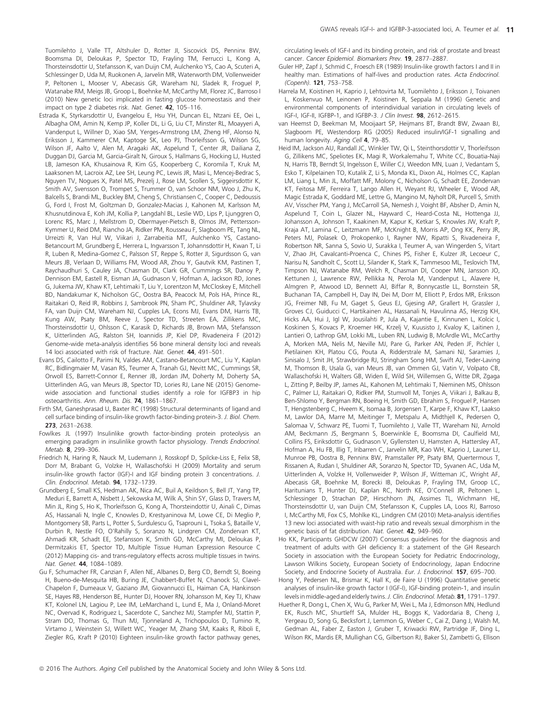Tuomilehto J, Valle TT, Altshuler D, Rotter JI, Siscovick DS, Penninx BW, Boomsma DI, Deloukas P, Spector TD, Frayling TM, Ferrucci L, Kong A, Thorsteinsdottir U, Stefansson K, van Duijn CM, Aulchenko YS, Cao A, Scuteri A, Schlessinger D, Uda M, Ruokonen A, Jarvelin MR, Waterworth DM, Vollenweider P, Peltonen L, Mooser V, Abecasis GR, Wareham NJ, Sladek R, Froguel P, Watanabe RM, Meigs JB, Groop L, Boehnke M, McCarthy MI, Florez JC, Barroso I (2010) New genetic loci implicated in fasting glucose homeostasis and their impact on type 2 diabetes risk. Nat. Genet. 42, 105–116.

- Estrada K, Styrkarsdottir U, Evangelou E, Hsu YH, Duncan EL, Ntzani EE, Oei L, Albagha OM, Amin N, Kemp JP, Koller DL, Li G, Liu CT, Minster RL, Moayyeri A, Vandenput L, Willner D, Xiao SM, Yerges-Armstrong LM, Zheng HF, Alonso N, Eriksson J, Kammerer CM, Kaptoge SK, Leo PJ, Thorleifsson G, Wilson SG, Wilson JF, Aalto V, Alen M, Aragaki AK, Aspelund T, Center JR, Dailiana Z, Duggan DJ, Garcia M, Garcia-Giralt N, Giroux S, Hallmans G, Hocking LJ, Husted LB, Jameson KA, Khusainova R, Kim GS, Kooperberg C, Koromila T, Kruk M, Laaksonen M, Lacroix AZ, Lee SH, Leung PC, Lewis JR, Masi L, Mencej-Bedrac S, Nguyen TV, Nogues X, Patel MS, Prezelj J, Rose LM, Scollen S, Siggeirsdottir K, Smith AV, Svensson O, Trompet S, Trummer O, van Schoor NM, Woo J, Zhu K, Balcells S, Brandi ML, Buckley BM, Cheng S, Christiansen C, Cooper C, Dedoussis G, Ford I, Frost M, Goltzman D, Gonzalez-Macias J, Kahonen M, Karlsson M, Khusnutdinova E, Koh JM, Kollia P, Langdahl BL, Leslie WD, Lips P, Ljunggren O, Lorenc RS, Marc J, Mellstrom D, Obermayer-Pietsch B, Olmos JM, Pettersson-Kymmer U, Reid DM, Riancho JA, Ridker PM, Rousseau F, Slagboom PE, Tang NL, Urreizti R, Van Hul W, Viikari J, Zarrabeitia MT, Aulchenko YS, Castano-Betancourt M, Grundberg E, Herrera L, Ingvarsson T, Johannsdottir H, Kwan T, Li R, Luben R, Medina-Gomez C, Palsson ST, Reppe S, Rotter JI, Sigurdsson G, van Meurs JB, Verlaan D, Williams FM, Wood AR, Zhou Y, Gautvik KM, Pastinen T, Raychaudhuri S, Cauley JA, Chasman DI, Clark GR, Cummings SR, Danoy P, Dennison EM, Eastell R, Eisman JA, Gudnason V, Hofman A, Jackson RD, Jones G, Jukema JW, Khaw KT, Lehtimaki T, Liu Y, Lorentzon M, McCloskey E, Mitchell BD, Nandakumar K, Nicholson GC, Oostra BA, Peacock M, Pols HA, Prince RL, Raitakari O, Reid IR, Robbins J, Sambrook PN, Sham PC, Shuldiner AR, Tylavsky FA, van Duijn CM, Wareham NJ, Cupples LA, Econs MJ, Evans DM, Harris TB, Kung AW, Psaty BM, Reeve J, Spector TD, Streeten EA, Zillikens MC, Thorsteinsdottir U, Ohlsson C, Karasik D, Richards JB, Brown MA, Stefansson K, Uitterlinden AG, Ralston SH, Ioannidis JP, Kiel DP, Rivadeneira F (2012) Genome-wide meta-analysis identifies 56 bone mineral density loci and reveals 14 loci associated with risk of fracture. Nat. Genet. 44, 491-501.
- Evans DS, Cailotto F, Parimi N, Valdes AM, Castano-Betancourt MC, Liu Y, Kaplan RC, Bidlingmaier M, Vasan RS, Teumer A, Tranah GJ, Nevitt MC, Cummings SR, Orwoll ES, Barrett-Connor E, Renner JB, Jordan JM, Doherty M, Doherty SA, Uitterlinden AG, van Meurs JB, Spector TD, Lories RJ, Lane NE (2015) Genomewide association and functional studies identify a role for IGFBP3 in hip osteoarthritis. Ann. Rheum. Dis. 74, 1861–1867.
- Firth SM, Ganeshprasad U, Baxter RC (1998) Structural determinants of ligand and cell surface binding of insulin-like growth factor-binding protein-3. J. Biol. Chem. 273, 2631–2638.
- Fowlkes JL (1997) Insulinlike growth factor-binding protein proteolysis an emerging paradigm in insulinlike growth factor physiology. Trends Endocrinol. Metab. **8**, 299-306.
- Friedrich N, Haring R, Nauck M, Ludemann J, Rosskopf D, Spilcke-Liss E, Felix SB, Dorr M, Brabant G, Volzke H, Wallaschofski H (2009) Mortality and serum insulin-like growth factor (IGF)-I and IGF binding protein 3 concentrations. J. Clin. Endocrinol. Metab. 94, 1732–1739.
- Grundberg E, Small KS, Hedman AK, Nica AC, Buil A, Keildson S, Bell JT, Yang TP, Meduri E, Barrett A, Nisbett J, Sekowska M, Wilk A, Shin SY, Glass D, Travers M, Min JL, Ring S, Ho K, Thorleifsson G, Kong A, Thorsteindottir U, Ainali C, Dimas AS, Hassanali N, Ingle C, Knowles D, Krestyaninova M, Lowe CE, Di Meglio P, Montgomery SB, Parts L, Potter S, Surdulescu G, Tsaprouni L, Tsoka S, Bataille V, Durbin R, Nestle FO, O'Rahilly S, Soranzo N, Lindgren CM, Zondervan KT, Ahmadi KR, Schadt EE, Stefansson K, Smith GD, McCarthy MI, Deloukas P, Dermitzakis ET, Spector TD, Multiple Tissue Human Expression Resource C (2012) Mapping cis- and trans-regulatory effects across multiple tissues in twins. Nat. Genet. 44, 1084–1089.
- Gu F, Schumacher FR, Canzian F, Allen NE, Albanes D, Berg CD, Berndt SI, Boeing H, Bueno-de-Mesquita HB, Buring JE, Chabbert-Buffet N, Chanock SJ, Clavel-Chapelon F, Dumeaux V, Gaziano JM, Giovannucci EL, Haiman CA, Hankinson SE, Hayes RB, Henderson BE, Hunter DJ, Hoover RN, Johansson M, Key TJ, Khaw KT, Kolonel LN, Lagiou P, Lee IM, LeMarchand L, Lund E, Ma J, Onland-Moret NC, Overvad K, Rodriguez L, Sacerdote C, Sanchez MJ, Stampfer MJ, Stattin P, Stram DO, Thomas G, Thun MJ, Tjonneland A, Trichopoulos D, Tumino R, Virtamo J, Weinstein SJ, Willett WC, Yeager M, Zhang SM, Kaaks R, Riboli E, Ziegler RG, Kraft P (2010) Eighteen insulin-like growth factor pathway genes,

circulating levels of IGF-I and its binding protein, and risk of prostate and breast cancer. Cancer Epidemiol. Biomarkers Prev. 19, 2877–2887.

- Guler HP, Zapf J, Schmid C, Froesch ER (1989) Insulin-like growth factors I and II in healthy man. Estimations of half-lives and production rates. Acta Endocrinol. (Copenh). 121, 753–758.
- Harrela M, Koistinen H, Kaprio J, Lehtovirta M, Tuomilehto J, Eriksson J, Toivanen L, Koskenvuo M, Leinonen P, Koistinen R, Seppala M (1996) Genetic and environmental components of interindividual variation in circulating levels of IGF-I, IGF-II, IGFBP-1, and IGFBP-3. J Clin Invest. 98, 2612-2615.
- van Heemst D, Beekman M, Mooijaart SP, Heijmans BT, Brandt BW, Zwaan BJ, Slagboom PE, Westendorp RG (2005) Reduced insulin/IGF-1 signalling and human longevity. Aging Cell **4**, 79-85.
- Heid IM, Jackson AU, Randall JC, Winkler TW, Qi L, Steinthorsdottir V, Thorleifsson G, Zillikens MC, Speliotes EK, Magi R, Workalemahu T, White CC, Bouatia-Naji N, Harris TB, Berndt SI, Ingelsson E, Willer CJ, Weedon MN, Luan J, Vedantam S, Esko T, Kilpelainen TO, Kutalik Z, Li S, Monda KL, Dixon AL, Holmes CC, Kaplan LM, Liang L, Min JL, Moffatt MF, Molony C, Nicholson G, Schadt EE, Zondervan KT, Feitosa MF, Ferreira T, Lango Allen H, Weyant RJ, Wheeler E, Wood AR, Magic Estrada K, Goddard ME, Lettre G, Mangino M, Nyholt DR, Purcell S, Smith AV, Visscher PM, Yang J, McCarroll SA, Nemesh J, Voight BF, Absher D, Amin N, Aspelund T, Coin L, Glazer NL, Hayward C, Heard-Costa NL, Hottenga JJ, Johansson A, Johnson T, Kaakinen M, Kapur K, Ketkar S, Knowles JW, Kraft P, Kraja AT, Lamina C, Leitzmann MF, McKnight B, Morris AP, Ong KK, Perry JR, Peters MJ, Polasek O, Prokopenko I, Rayner NW, Ripatti S, Rivadeneira F, Robertson NR, Sanna S, Sovio U, Surakka I, Teumer A, van Wingerden S, Vitart V, Zhao JH, Cavalcanti-Proenca C, Chines PS, Fisher E, Kulzer JR, Lecoeur C, Narisu N, Sandholt C, Scott LJ, Silander K, Stark K, Tammesoo ML, Teslovich TM, Timpson NJ, Watanabe RM, Welch R, Chasman DI, Cooper MN, Jansson JO, Kettunen J, Lawrence RW, Pellikka N, Perola M, Vandenput L, Alavere H, Almgren P, Atwood LD, Bennett AJ, Biffar R, Bonnycastle LL, Bornstein SR, Buchanan TA, Campbell H, Day IN, Dei M, Dorr M, Elliott P, Erdos MR, Eriksson JG, Freimer NB, Fu M, Gaget S, Geus EJ, Gjesing AP, Grallert H, Grassler J, Groves CJ, Guiducci C, Hartikainen AL, Hassanali N, Havulinna AS, Herzig KH, Hicks AA, Hui J, Igl W, Jousilahti P, Jula A, Kajantie E, Kinnunen L, Kolcic I, Koskinen S, Kovacs P, Kroemer HK, Krzelj V, Kuusisto J, Kvaloy K, Laitinen J, Lantieri O, Lathrop GM, Lokki ML, Luben RN, Ludwig B, McArdle WL, McCarthy A, Morken MA, Nelis M, Neville MJ, Pare G, Parker AN, Peden JF, Pichler I, Pietilainen KH, Platou CG, Pouta A, Ridderstrale M, Samani NJ, Saramies J, Sinisalo J, Smit JH, Strawbridge RJ, Stringham Song HM, Swift AJ, Teder-Laving M, Thomson B, Usala G, van Meurs JB, van Ommen GJ, Vatin V, Volpato CB, Wallaschofski H, Walters GB, Widen E, Wild SH, Willemsen G, Witte DR, Zgaga L, Zitting P, Beilby JP, James AL, Kahonen M, Lehtimaki T, Nieminen MS, Ohlsson C, Palmer LJ, Raitakari O, Ridker PM, Stumvoll M, Tonjes A, Viikari J, Balkau B, Ben-Shlomo Y, Bergman RN, Boeing H, Smith GD, Ebrahim S, Froguel P, Hansen T, Hengstenberg C, Hveem K, Isomaa B, Jorgensen T, Karpe F, Khaw KT, Laakso M, Lawlor DA, Marre M, Meitinger T, Metspalu A, Midthjell K, Pedersen O, Salomaa V, Schwarz PE, Tuomi T, Tuomilehto J, Valle TT, Wareham NJ, Arnold AM, Beckmann JS, Bergmann S, Boerwinkle E, Boomsma DI, Caulfield MJ, Collins FS, Eiriksdottir G, Gudnason V, Gyllensten U, Hamsten A, Hattersley AT, Hofman A, Hu FB, Illig T, Iribarren C, Jarvelin MR, Kao WH, Kaprio J, Launer LJ, Munroe PB, Oostra B, Penninx BW, Pramstaller PP, Psaty BM, Quertermous T, Rissanen A, Rudan I, Shuldiner AR, Soranzo N, Spector TD, Syvanen AC, Uda M, Uitterlinden A, Volzke H, Vollenweider P, Wilson JF, Witteman JC, Wright AF, Abecasis GR, Boehnke M, Borecki IB, Deloukas P, Frayling TM, Groop LC, Haritunians T, Hunter DJ, Kaplan RC, North KE, O'Connell JR, Peltonen L, Schlessinger D, Strachan DP, Hirschhorn JN, Assimes TL, Wichmann HE, Thorsteinsdottir U, van Duijn CM, Stefansson K, Cupples LA, Loos RJ, Barroso I, McCarthy MI, Fox CS, Mohlke KL, Lindgren CM (2010) Meta-analysis identifies 13 new loci associated with waist-hip ratio and reveals sexual dimorphism in the genetic basis of fat distribution. Nat. Genet. 42, 949–960.
- Ho KK, Participants GHDCW (2007) Consensus guidelines for the diagnosis and treatment of adults with GH deficiency II: a statement of the GH Research Society in association with the European Society for Pediatric Endocrinology, Lawson Wilkins Society, European Society of Endocrinology, Japan Endocrine Society, and Endocrine Society of Australia. Eur. J. Endocrinol. 157, 695–700.
- Hong Y, Pedersen NL, Brismar K, Hall K, de Faire U (1996) Quantitative genetic analyses of insulin-like growth factor I (IGF-I), IGF-binding protein-1, and insulin levels in middle-aged and elderly twins. J. Clin. Endocrinol. Metab. 81, 1791-1797.
- Huether R, Dong L, Chen X, Wu G, Parker M, Wei L, Ma J, Edmonson MN, Hedlund EK, Rusch MC, Shurtleff SA, Mulder HL, Boggs K, Vadordaria B, Cheng J, Yergeau D, Song G, Becksfort J, Lemmon G, Weber C, Cai Z, Dang J, Walsh M, Gedman AL, Faber Z, Easton J, Gruber T, Kriwacki RW, Partridge JF, Ding L, Wilson RK, Mardis ER, Mullighan CG, Gilbertson RJ, Baker SJ, Zambetti G, Ellison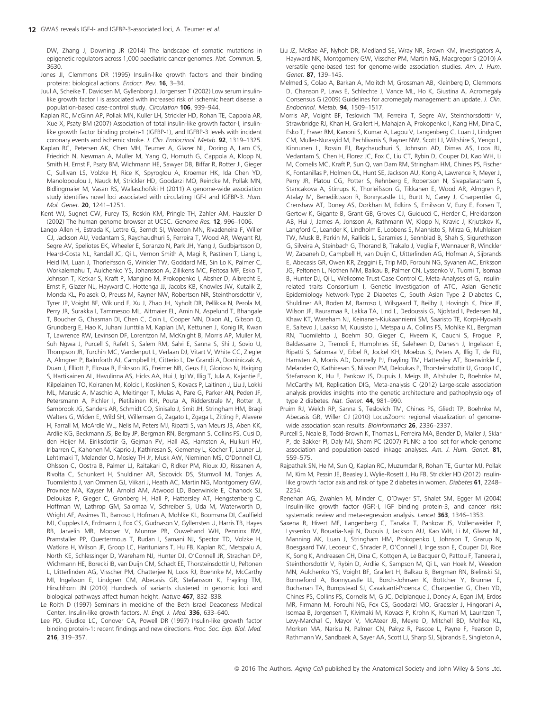DW, Zhang J, Downing JR (2014) The landscape of somatic mutations in epigenetic regulators across 1,000 paediatric cancer genomes. Nat. Commun. 5, 3630.

- Jones JI, Clemmons DR (1995) Insulin-like growth factors and their binding proteins: biological actions. Endocr. Rev. 16, 3–34.
- Juul A, Scheike T, Davidsen M, Gyllenborg J, Jorgensen T (2002) Low serum insulinlike growth factor I is associated with increased risk of ischemic heart disease: a population-based case-control study. Circulation 106, 939–944.
- Kaplan RC, McGinn AP, Pollak MN, Kuller LH, Strickler HD, Rohan TE, Cappola AR, Xue X, Psaty BM (2007) Association of total insulin-like growth factor-I, insulinlike growth factor binding protein-1 (IGFBP-1), and IGFBP-3 levels with incident coronary events and ischemic stroke. J. Clin. Endocrinol. Metab. 92, 1319–1325.
- Kaplan RC, Petersen AK, Chen MH, Teumer A, Glazer NL, Doring A, Lam CS, Friedrich N, Newman A, Muller M, Yang Q, Homuth G, Cappola A, Klopp N, Smith H, Ernst F, Psaty BM, Wichmann HE, Sawyer DB, Biffar R, Rotter JI, Gieger C, Sullivan LS, Volzke H, Rice K, Spyroglou A, Kroemer HK, Ida Chen YD, Manolopoulou J, Nauck M, Strickler HD, Goodarzi MO, Reincke M, Pollak MN, Bidlingmaier M, Vasan RS, Wallaschofski H (2011) A genome-wide association study identifies novel loci associated with circulating IGF-I and IGFBP-3. Hum. Mol. Genet. 20, 1241–1251.
- Kent WJ, Sugnet CW, Furey TS, Roskin KM, Pringle TH, Zahler AM, Haussler D (2002) The human genome browser at UCSC. Genome Res. 12, 996-1006.
- Lango Allen H, Estrada K, Lettre G, Berndt SI, Weedon MN, Rivadeneira F, Willer CJ, Jackson AU, Vedantam S, Raychaudhuri S, Ferreira T, Wood AR, Weyant RJ, Segre AV, Speliotes EK, Wheeler E, Soranzo N, Park JH, Yang J, Gudbjartsson D, Heard-Costa NL, Randall JC, Qi L, Vernon Smith A, Magi R, Pastinen T, Liang L, Heid IM, Luan J, Thorleifsson G, Winkler TW, Goddard ME, Sin Lo K, Palmer C, Workalemahu T, Aulchenko YS, Johansson A, Zillikens MC, Feitosa MF, Esko T, Johnson T, Ketkar S, Kraft P, Mangino M, Prokopenko I, Absher D, Albrecht E, Ernst F, Glazer NL, Hayward C, Hottenga JJ, Jacobs KB, Knowles JW, Kutalik Z, Monda KL, Polasek O, Preuss M, Rayner NW, Robertson NR, Steinthorsdottir V, Tyrer JP, Voight BF, Wiklund F, Xu J, Zhao JH, Nyholt DR, Pellikka N, Perola M, Perry JR, Surakka I, Tammesoo ML, Altmaier EL, Amin N, Aspelund T, Bhangale T, Boucher G, Chasman DI, Chen C, Coin L, Cooper MN, Dixon AL, Gibson Q, Grundberg E, Hao K, Juhani Junttila M, Kaplan LM, Kettunen J, Konig IR, Kwan T, Lawrence RW, Levinson DF, Lorentzon M, McKnight B, Morris AP, Muller M, Suh Ngwa J, Purcell S, Rafelt S, Salem RM, Salvi E, Sanna S, Shi J, Sovio U, Thompson JR, Turchin MC, Vandenput L, Verlaan DJ, Vitart V, White CC, Ziegler A, Almgren P, Balmforth AJ, Campbell H, Citterio L, De Grandi A, Dominiczak A, Duan J, Elliott P, Elosua R, Eriksson JG, Freimer NB, Geus EJ, Glorioso N, Haiqing S, Hartikainen AL, Havulinna AS, Hicks AA, Hui J, Igl W, Illig T, Jula A, Kajantie E, Kilpelainen TO, Koiranen M, Kolcic I, Koskinen S, Kovacs P, Laitinen J, Liu J, Lokki ML, Marusic A, Maschio A, Meitinger T, Mulas A, Pare G, Parker AN, Peden JF, Petersmann A, Pichler I, Pietilainen KH, Pouta A, Ridderstrale M, Rotter JI, Sambrook JG, Sanders AR, Schmidt CO, Sinisalo J, Smit JH, Stringham HM, Bragi Walters G, Widen E, Wild SH, Willemsen G, Zagato L, Zgaga L, Zitting P, Alavere H, Farrall M, McArdle WL, Nelis M, Peters MJ, Ripatti S, van Meurs JB, Aben KK, Ardlie KG, Beckmann JS, Beilby JP, Bergman RN, Bergmann S, Collins FS, Cusi D, den Heijer M, Eiriksdottir G, Gejman PV, Hall AS, Hamsten A, Huikuri HV, Iribarren C, Kahonen M, Kaprio J, Kathiresan S, Kiemeney L, Kocher T, Launer LJ, Lehtimaki T, Melander O, Mosley TH Jr, Musk AW, Nieminen MS, O'Donnell CJ, Ohlsson C, Oostra B, Palmer LJ, Raitakari O, Ridker PM, Rioux JD, Rissanen A, Rivolta C, Schunkert H, Shuldiner AR, Siscovick DS, Stumvoll M, Tonjes A, Tuomilehto J, van Ommen GJ, Viikari J, Heath AC, Martin NG, Montgomery GW, Province MA, Kayser M, Arnold AM, Atwood LD, Boerwinkle E, Chanock SJ, Deloukas P, Gieger C, Gronberg H, Hall P, Hattersley AT, Hengstenberg C, Hoffman W, Lathrop GM, Salomaa V, Schreiber S, Uda M, Waterworth D, Wright AF, Assimes TL, Barroso I, Hofman A, Mohlke KL, Boomsma DI, Caulfield MJ, Cupples LA, Erdmann J, Fox CS, Gudnason V, Gyllensten U, Harris TB, Hayes RB, Jarvelin MR, Mooser V, Munroe PB, Ouwehand WH, Penninx BW, Pramstaller PP, Quertermous T, Rudan I, Samani NJ, Spector TD, Volzke H, Watkins H, Wilson JF, Groop LC, Haritunians T, Hu FB, Kaplan RC, Metspalu A, North KE, Schlessinger D, Wareham NJ, Hunter DJ, O'Connell JR, Strachan DP, Wichmann HE, Borecki IB, van Duijn CM, Schadt EE, Thorsteinsdottir U, Peltonen L, Uitterlinden AG, Visscher PM, Chatterjee N, Loos RJ, Boehnke M, McCarthy MI, Ingelsson E, Lindgren CM, Abecasis GR, Stefansson K, Frayling TM, Hirschhorn JN (2010) Hundreds of variants clustered in genomic loci and biological pathways affect human height. Nature 467, 832–838.
- Le Roith D (1997) Seminars in medicine of the Beth Israel Deaconess Medical Center. Insulin-like growth factors. N. Engl. J. Med. 336, 633–640.
- Lee PD, Giudice LC, Conover CA, Powell DR (1997) Insulin-like growth factor binding protein-1: recent findings and new directions. Proc. Soc. Exp. Biol. Med. 216, 319–357.
- Liu JZ, McRae AF, Nyholt DR, Medland SE, Wray NR, Brown KM, Investigators A, Hayward NK, Montgomery GW, Visscher PM, Martin NG, Macgregor S (2010) A versatile gene-based test for genome-wide association studies. Am. J. Hum. Genet 87, 139–145.
- Melmed S, Colao A, Barkan A, Molitch M, Grossman AB, Kleinberg D, Clemmons D, Chanson P, Laws E, Schlechte J, Vance ML, Ho K, Giustina A, Acromegaly Consensus G (2009) Guidelines for acromegaly management: an update. J. Clin. Endocrinol. Metab. 94, 1509–1517.
- Morris AP, Voight BF, Teslovich TM, Ferreira T, Segre AV, Steinthorsdottir V, Strawbridge RJ, Khan H, Grallert H, Mahajan A, Prokopenko I, Kang HM, Dina C, Esko T, Fraser RM, Kanoni S, Kumar A, Lagou V, Langenberg C, Luan J, Lindgren CM, Muller-Nurasyid M, Pechlivanis S, Rayner NW, Scott LJ, Wiltshire S, Yengo L, Kinnunen L, Rossin EJ, Raychaudhuri S, Johnson AD, Dimas AS, Loos RJ, Vedantam S, Chen H, Florez JC, Fox C, Liu CT, Rybin D, Couper DJ, Kao WH, Li M, Cornelis MC, Kraft P, Sun Q, van Dam RM, Stringham HM, Chines PS, Fischer K, Fontanillas P, Holmen OL, Hunt SE, Jackson AU, Kong A, Lawrence R, Meyer J, Perry JR, Platou CG, Potter S, Rehnberg E, Robertson N, Sivapalaratnam S, Stancakova A, Stirrups K, Thorleifsson G, Tikkanen E, Wood AR, Almgren P, Atalay M, Benediktsson R, Bonnycastle LL, Burtt N, Carey J, Charpentier G, Crenshaw AT, Doney AS, Dorkhan M, Edkins S, Emilsson V, Eury E, Forsen T, Gertow K, Gigante B, Grant GB, Groves CJ, Guiducci C, Herder C, Hreidarsson AB, Hui J, James A, Jonsson A, Rathmann W, Klopp N, Kravic J, Krjutskov K, Langford C, Leander K, Lindholm E, Lobbens S, Mannisto S, Mirza G, Muhleisen TW, Musk B, Parkin M, Rallidis L, Saramies J, Sennblad B, Shah S, Sigurethsson G, Silveira A, Steinbach G, Thorand B, Trakalo J, Veglia F, Wennauer R, Winckler W, Zabaneh D, Campbell H, van Duijn C, Uitterlinden AG, Hofman A, Sijbrands E, Abecasis GR, Owen KR, Zeggini E, Trip MD, Forouhi NG, Syvanen AC, Eriksson JG, Peltonen L, Nothen MM, Balkau B, Palmer CN, Lyssenko V, Tuomi T, Isomaa B, Hunter DJ, Qi L, Wellcome Trust Case Control C, Meta-Analyses of G, Insulinrelated traits Consortium I, Genetic Investigation of ATC, Asian Genetic Epidemiology Network-Type 2 Diabetes C, South Asian Type 2 Diabetes C, Shuldiner AR, Roden M, Barroso I, Wilsgaard T, Beilby J, Hovingh K, Price JF, Wilson JF, Rauramaa R, Lakka TA, Lind L, Dedoussis G, Njolstad I, Pedersen NL, Khaw KT, Wareham NJ, Keinanen-Kiukaanniemi SM, Saaristo TE, Korpi-Hyovalti E, Saltevo J, Laakso M, Kuusisto J, Metspalu A, Collins FS, Mohlke KL, Bergman RN, Tuomilehto J, Boehm BO, Gieger C, Hveem K, Cauchi S, Froguel P, Baldassarre D, Tremoli E, Humphries SE, Saleheen D, Danesh J, Ingelsson E, Ripatti S, Salomaa V, Erbel R, Jockel KH, Moebus S, Peters A, Illig T, de FU, Hamsten A, Morris AD, Donnelly PJ, Frayling TM, Hattersley AT, Boerwinkle E, Melander O, Kathiresan S, Nilsson PM, Deloukas P, Thorsteinsdottir U, Groop LC, Stefansson K, Hu F, Pankow JS, Dupuis J, Meigs JB, Altshuler D, Boehnke M, McCarthy MI, Replication DIG, Meta-analysis C (2012) Large-scale association analysis provides insights into the genetic architecture and pathophysiology of type 2 diabetes. Nat. Genet. 44, 981-990.
- Pruim RJ, Welch RP, Sanna S, Teslovich TM, Chines PS, Gliedt TP, Boehnke M, Abecasis GR, Willer CJ (2010) LocusZoom: regional visualization of genomewide association scan results. Bioinformatics 26, 2336-2337.
- Purcell S, Neale B, Todd-Brown K, Thomas L, Ferreira MA, Bender D, Maller J, Sklar P, de Bakker PI, Daly MJ, Sham PC (2007) PLINK: a tool set for whole-genome association and population-based linkage analyses. Am. J. Hum. Genet. 81, 559–575.
- Rajpathak SN, He M, Sun Q, Kaplan RC, Muzumdar R, Rohan TE, Gunter MJ, Pollak M, Kim M, Pessin JE, Beasley J, Wylie-Rosett J, Hu FB, Strickler HD (2012) Insulinlike growth factor axis and risk of type 2 diabetes in women. Diabetes 61, 2248-2254.
- Renehan AG, Zwahlen M, Minder C, O'Dwyer ST, Shalet SM, Egger M (2004) Insulin-like growth factor (IGF)-I, IGF binding protein-3, and cancer risk: systematic review and meta-regression analysis. Lancet 363, 1346–1353.
- Saxena R, Hivert MF, Langenberg C, Tanaka T, Pankow JS, Vollenweider P, Lyssenko V, Bouatia-Naji N, Dupuis J, Jackson AU, Kao WH, Li M, Glazer NL, Manning AK, Luan J, Stringham HM, Prokopenko I, Johnson T, Grarup N, Boesgaard TW, Lecoeur C, Shrader P, O'Connell J, Ingelsson E, Couper DJ, Rice K, Song K, Andreasen CH, Dina C, Kottgen A, Le Bacquer O, Pattou F, Taneera J, Steinthorsdottir V, Rybin D, Ardlie K, Sampson M, Qi L, van Hoek M, Weedon MN, Aulchenko YS, Voight BF, Grallert H, Balkau B, Bergman RN, Bielinski SJ, Bonnefond A, Bonnycastle LL, Borch-Johnsen K, Bottcher Y, Brunner E, Buchanan TA, Bumpstead SJ, Cavalcanti-Proenca C, Charpentier G, Chen YD, Chines PS, Collins FS, Cornelis M, G JC, Delplanque J, Doney A, Egan JM, Erdos MR, Firmann M, Forouhi NG, Fox CS, Goodarzi MO, Graessler J, Hingorani A, Isomaa B, Jorgensen T, Kivimaki M, Kovacs P, Krohn K, Kumari M, Lauritzen T, Levy-Marchal C, Mayor V, McAteer JB, Meyre D, Mitchell BD, Mohlke KL, Morken MA, Narisu N, Palmer CN, Pakyz R, Pascoe L, Payne F, Pearson D, Rathmann W, Sandbaek A, Sayer AA, Scott LJ, Sharp SJ, Sijbrands E, Singleton A,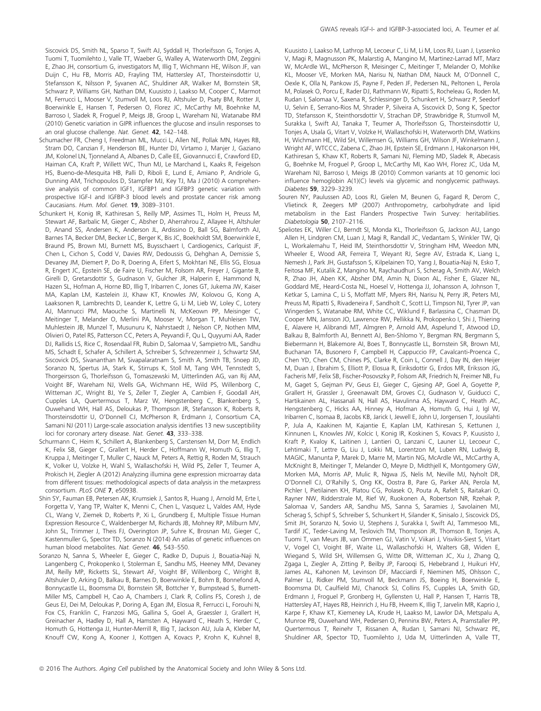Siscovick DS, Smith NL, Sparso T, Swift AJ, Syddall H, Thorleifsson G, Tonjes A, Tuomi T, Tuomilehto J, Valle TT, Waeber G, Walley A, Waterworth DM, Zeggini E, Zhao JH, consortium G, investigators M, Illig T, Wichmann HE, Wilson JF, van Duijn C, Hu FB, Morris AD, Frayling TM, Hattersley AT, Thorsteinsdottir U, Stefansson K, Nilsson P, Syvanen AC, Shuldiner AR, Walker M, Bornstein SR, Schwarz P, Williams GH, Nathan DM, Kuusisto J, Laakso M, Cooper C, Marmot M, Ferrucci L, Mooser V, Stumvoll M, Loos RJ, Altshuler D, Psaty BM, Rotter JI, Boerwinkle E, Hansen T, Pedersen O, Florez JC, McCarthy MI, Boehnke M, Barroso I, Sladek R, Froguel P, Meigs JB, Groop L, Wareham NJ, Watanabe RM (2010) Genetic variation in GIPR influences the glucose and insulin responses to an oral glucose challenge. Nat. Genet. 42, 142-148.

- Schumacher FR, Cheng I, Freedman ML, Mucci L, Allen NE, Pollak MN, Hayes RB, Stram DO, Canzian F, Henderson BE, Hunter DJ, Virtamo J, Manjer J, Gaziano JM, Kolonel LN, Tjonneland A, Albanes D, Calle EE, Giovannucci E, Crawford ED, Haiman CA, Kraft P, Willett WC, Thun MJ, Le Marchand L, Kaaks R, Feigelson HS, Bueno-de-Mesquita HB, Palli D, Riboli E, Lund E, Amiano P, Andriole G, Dunning AM, Trichopoulos D, Stampfer MJ, Key TJ, Ma J (2010) A comprehensive analysis of common IGF1, IGFBP1 and IGFBP3 genetic variation with prospective IGF-I and IGFBP-3 blood levels and prostate cancer risk among Caucasians. Hum. Mol. Genet. 19, 3089–3101.
- Schunkert H, Konig IR, Kathiresan S, Reilly MP, Assimes TL, Holm H, Preuss M, Stewart AF, Barbalic M, Gieger C, Absher D, Aherrahrou Z, Allayee H, Altshuler D, Anand SS, Andersen K, Anderson JL, Ardissino D, Ball SG, Balmforth AJ, Barnes TA, Becker DM, Becker LC, Berger K, Bis JC, Boekholdt SM, Boerwinkle E, Braund PS, Brown MJ, Burnett MS, Buysschaert I, Cardiogenics, Carlquist JF, Chen L, Cichon S, Codd V, Davies RW, Dedoussis G, Dehghan A, Demissie S, Devaney JM, Diemert P, Do R, Doering A, Eifert S, Mokhtari NE, Ellis SG, Elosua R, Engert JC, Epstein SE, de Faire U, Fischer M, Folsom AR, Freyer J, Gigante B, Girelli D, Gretarsdottir S, Gudnason V, Gulcher JR, Halperin E, Hammond N, Hazen SL, Hofman A, Horne BD, Illig T, Iribarren C, Jones GT, Jukema JW, Kaiser MA, Kaplan LM, Kastelein JJ, Khaw KT, Knowles JW, Kolovou G, Kong A, Laaksonen R, Lambrechts D, Leander K, Lettre G, Li M, Lieb W, Loley C, Lotery AJ, Mannucci PM, Maouche S, Martinelli N, McKeown PP, Meisinger C, Meitinger T, Melander O, Merlini PA, Mooser V, Morgan T, Muhleisen TW, Muhlestein JB, Munzel T, Musunuru K, Nahrstaedt J, Nelson CP, Nothen MM, Olivieri O, Patel RS, Patterson CC, Peters A, Peyvandi F, Qu L, Quyyumi AA, Rader DJ, Rallidis LS, Rice C, Rosendaal FR, Rubin D, Salomaa V, Sampietro ML, Sandhu MS, Schadt E, Schafer A, Schillert A, Schreiber S, Schrezenmeir J, Schwartz SM, Siscovick DS, Sivananthan M, Sivapalaratnam S, Smith A, Smith TB, Snoep JD, Soranzo N, Spertus JA, Stark K, Stirrups K, Stoll M, Tang WH, Tennstedt S, Thorgeirsson G, Thorleifsson G, Tomaszewski M, Uitterlinden AG, van Rij AM, Voight BF, Wareham NJ, Wells GA, Wichmann HE, Wild PS, Willenborg C, Witteman JC, Wright BJ, Ye S, Zeller T, Ziegler A, Cambien F, Goodall AH, Cupples LA, Quertermous T, Marz W, Hengstenberg C, Blankenberg S, Ouwehand WH, Hall AS, Deloukas P, Thompson JR, Stefansson K, Roberts R, Thorsteinsdottir U, O'Donnell CJ, McPherson R, Erdmann J, Consortium CA, Samani NJ (2011) Large-scale association analysis identifies 13 new susceptibility loci for coronary artery disease. Nat. Genet. 43, 333-338.
- Schurmann C, Heim K, Schillert A, Blankenberg S, Carstensen M, Dorr M, Endlich K, Felix SB, Gieger C, Grallert H, Herder C, Hoffmann W, Homuth G, Illig T, Kruppa J, Meitinger T, Muller C, Nauck M, Peters A, Rettig R, Roden M, Strauch K, Volker U, Volzke H, Wahl S, Wallaschofski H, Wild PS, Zeller T, Teumer A, Prokisch H, Ziegler A (2012) Analyzing illumina gene expression microarray data from different tissues: methodological aspects of data analysis in the metaxpress consortium. PLoS ONE 7, e50938.
- Shin SY, Fauman EB, Petersen AK, Krumsiek J, Santos R, Huang J, Arnold M, Erte I, Forgetta V, Yang TP, Walter K, Menni C, Chen L, Vasquez L, Valdes AM, Hyde CL, Wang V, Ziemek D, Roberts P, Xi L, Grundberg E, Multiple Tissue Human Expression Resource C, Waldenberger M, Richards JB, Mohney RP, Milburn MV, John SL, Trimmer J, Theis FJ, Overington JP, Suhre K, Brosnan MJ, Gieger C, Kastenmuller G, Spector TD, Soranzo N (2014) An atlas of genetic influences on human blood metabolites. Nat. Genet. 46, 543–550.
- Soranzo N, Sanna S, Wheeler E, Gieger C, Radke D, Dupuis J, Bouatia-Naji N, Langenberg C, Prokopenko I, Stolerman E, Sandhu MS, Heeney MM, Devaney JM, Reilly MP, Ricketts SL, Stewart AF, Voight BF, Willenborg C, Wright B, Altshuler D, Arking D, Balkau B, Barnes D, Boerwinkle E, Bohm B, Bonnefond A, Bonnycastle LL, Boomsma DI, Bornstein SR, Bottcher Y, Bumpstead S, Burnett-Miller MS, Campbell H, Cao A, Chambers J, Clark R, Collins FS, Coresh J, de Geus EJ, Dei M, Deloukas P, Doring A, Egan JM, Elosua R, Ferrucci L, Forouhi N, Fox CS, Franklin C, Franzosi MG, Gallina S, Goel A, Graessler J, Grallert H, Greinacher A, Hadley D, Hall A, Hamsten A, Hayward C, Heath S, Herder C, Homuth G, Hottenga JJ, Hunter-Merrill R, Illig T, Jackson AU, Jula A, Kleber M, Knouff CW, Kong A, Kooner J, Kottgen A, Kovacs P, Krohn K, Kuhnel B,

Kuusisto J, Laakso M, Lathrop M, Lecoeur C, Li M, Li M, Loos RJ, Luan J, Lyssenko V, Magi R, Magnusson PK, Malarstig A, Mangino M, Martinez-Larrad MT, Marz W, McArdle WL, McPherson R, Meisinger C, Meitinger T, Melander O, Mohlke KL, Mooser VE, Morken MA, Narisu N, Nathan DM, Nauck M, O'Donnell C, Oexle K, Olla N, Pankow JS, Payne F, Peden JF, Pedersen NL, Peltonen L, Perola M, Polasek O, Porcu E, Rader DJ, Rathmann W, Ripatti S, Rocheleau G, Roden M, Rudan I, Salomaa V, Saxena R, Schlessinger D, Schunkert H, Schwarz P, Seedorf U, Selvin E, Serrano-Rios M, Shrader P, Silveira A, Siscovick D, Song K, Spector TD, Stefansson K, Steinthorsdottir V, Strachan DP, Strawbridge R, Stumvoll M, Surakka I, Swift AJ, Tanaka T, Teumer A, Thorleifsson G, Thorsteinsdottir U, Tonjes A, Usala G, Vitart V, Volzke H, Wallaschofski H, Waterworth DM, Watkins H, Wichmann HE, Wild SH, Willemsen G, Williams GH, Wilson JF, Winkelmann J, Wright AF, WTCCC, Zabena C, Zhao JH, Epstein SE, Erdmann J, Hakonarson HH, Kathiresan S, Khaw KT, Roberts R, Samani NJ, Fleming MD, Sladek R, Abecasis G, Boehnke M, Froguel P, Groop L, McCarthy MI, Kao WH, Florez JC, Uda M, Wareham NJ, Barroso I, Meigs JB (2010) Common variants at 10 genomic loci influence hemoglobin A(1)(C) levels via glycemic and nonglycemic pathways. Diabetes 59, 3229–3239.

- Souren NY, Paulussen AD, Loos RJ, Gielen M, Beunen G, Fagard R, Derom C, Vlietinck R, Zeegers MP (2007) Anthropometry, carbohydrate and lipid metabolism in the East Flanders Prospective Twin Survey: heritabilities. Diabetologia 50, 2107–2116.
- Speliotes EK, Willer CJ, Berndt SI, Monda KL, Thorleifsson G, Jackson AU, Lango Allen H, Lindgren CM, Luan J, Magi R, Randall JC, Vedantam S, Winkler TW, Qi L, Workalemahu T, Heid IM, Steinthorsdottir V, Stringham HM, Weedon MN, Wheeler E, Wood AR, Ferreira T, Weyant RJ, Segre AV, Estrada K, Liang L, Nemesh J, Park JH, Gustafsson S, Kilpelainen TO, Yang J, Bouatia-Naji N, Esko T, Feitosa MF, Kutalik Z, Mangino M, Raychaudhuri S, Scherag A, Smith AV, Welch R, Zhao JH, Aben KK, Absher DM, Amin N, Dixon AL, Fisher E, Glazer NL, Goddard ME, Heard-Costa NL, Hoesel V, Hottenga JJ, Johansson A, Johnson T, Ketkar S, Lamina C, Li S, Moffatt MF, Myers RH, Narisu N, Perry JR, Peters MJ, Preuss M, Ripatti S, Rivadeneira F, Sandholt C, Scott LJ, Timpson NJ, Tyrer JP, van Wingerden S, Watanabe RM, White CC, Wiklund F, Barlassina C, Chasman DI, Cooper MN, Jansson JO, Lawrence RW, Pellikka N, Prokopenko I, Shi J, Thiering E, Alavere H, Alibrandi MT, Almgren P, Arnold AM, Aspelund T, Atwood LD, Balkau B, Balmforth AJ, Bennett AJ, Ben-Shlomo Y, Bergman RN, Bergmann S, Biebermann H, Blakemore AI, Boes T, Bonnycastle LL, Bornstein SR, Brown MJ, Buchanan TA, Busonero F, Campbell H, Cappuccio FP, Cavalcanti-Proenca C, Chen YD, Chen CM, Chines PS, Clarke R, Coin L, Connell J, Day IN, den Heijer M, Duan J, Ebrahim S, Elliott P, Elosua R, Eiriksdottir G, Erdos MR, Eriksson JG, Facheris MF, Felix SB, Fischer-Posovszky P, Folsom AR, Friedrich N, Freimer NB, Fu M, Gaget S, Gejman PV, Geus EJ, Gieger C, Gjesing AP, Goel A, Goyette P, Grallert H, Grassler J, Greenawalt DM, Groves CJ, Gudnason V, Guiducci C, Hartikainen AL, Hassanali N, Hall AS, Havulinna AS, Hayward C, Heath AC, Hengstenberg C, Hicks AA, Hinney A, Hofman A, Homuth G, Hui J, Igl W, Iribarren C, Isomaa B, Jacobs KB, Jarick I, Jewell E, John U, Jorgensen T, Jousilahti P, Jula A, Kaakinen M, Kajantie E, Kaplan LM, Kathiresan S, Kettunen J, Kinnunen L, Knowles JW, Kolcic I, Konig IR, Koskinen S, Kovacs P, Kuusisto J, Kraft P, Kvaloy K, Laitinen J, Lantieri O, Lanzani C, Launer LJ, Lecoeur C, Lehtimaki T, Lettre G, Liu J, Lokki ML, Lorentzon M, Luben RN, Ludwig B, MAGIC, Manunta P, Marek D, Marre M, Martin NG, McArdle WL, McCarthy A, McKnight B, Meitinger T, Melander O, Meyre D, Midthjell K, Montgomery GW, Morken MA, Morris AP, Mulic R, Ngwa JS, Nelis M, Neville MJ, Nyholt DR, O'Donnell CJ, O'Rahilly S, Ong KK, Oostra B, Pare G, Parker AN, Perola M, Pichler I, Pietilainen KH, Platou CG, Polasek O, Pouta A, Rafelt S, Raitakari O, Rayner NW, Ridderstrale M, Rief W, Ruokonen A, Robertson NR, Rzehak P, Salomaa V, Sanders AR, Sandhu MS, Sanna S, Saramies J, Savolainen MJ, Scherag S, Schipf S, Schreiber S, Schunkert H, Silander K, Sinisalo J, Siscovick DS, Smit JH, Soranzo N, Sovio U, Stephens J, Surakka I, Swift AJ, Tammesoo ML, Tardif JC, Teder-Laving M, Teslovich TM, Thompson JR, Thomson B, Tonjes A, Tuomi T, van Meurs JB, van Ommen GJ, Vatin V, Viikari J, Visvikis-Siest S, Vitart V, Vogel CI, Voight BF, Waite LL, Wallaschofski H, Walters GB, Widen E, Wiegand S, Wild SH, Willemsen G, Witte DR, Witteman JC, Xu J, Zhang Q, Zgaga L, Ziegler A, Zitting P, Beilby JP, Farooqi IS, Hebebrand J, Huikuri HV, James AL, Kahonen M, Levinson DF, Macciardi F, Nieminen MS, Ohlsson C, Palmer LJ, Ridker PM, Stumvoll M, Beckmann JS, Boeing H, Boerwinkle E Boomsma DI, Caulfield MJ, Chanock SJ, Collins FS, Cupples LA, Smith GD, Erdmann J, Froguel P, Gronberg H, Gyllensten U, Hall P, Hansen T, Harris TB, Hattersley AT, Hayes RB, Heinrich J, Hu FB, Hveem K, Illig T, Jarvelin MR, Kaprio J, Karpe F, Khaw KT, Kiemeney LA, Krude H, Laakso M, Lawlor DA, Metspalu A, Munroe PB, Ouwehand WH, Pedersen O, Penninx BW, Peters A, Pramstaller PP, Quertermous T, Reinehr T, Rissanen A, Rudan I, Samani NJ, Schwarz PE, Shuldiner AR, Spector TD, Tuomilehto J, Uda M, Uitterlinden A, Valle TT,